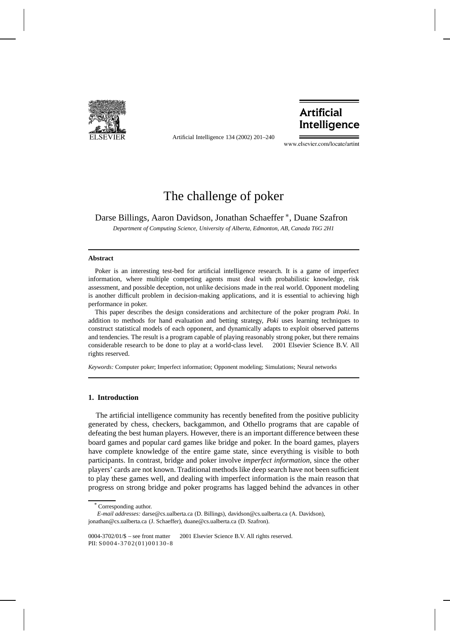

Artificial Intelligence 134 (2002) 201–240



www.elsevier.com/locate/artint

# The challenge of poker

Darse Billings, Aaron Davidson, Jonathan Schaeffer <sup>∗</sup>, Duane Szafron

*Department of Computing Science, University of Alberta, Edmonton, AB, Canada T6G 2H1*

#### **Abstract**

Poker is an interesting test-bed for artificial intelligence research. It is a game of imperfect information, where multiple competing agents must deal with probabilistic knowledge, risk assessment, and possible deception, not unlike decisions made in the real world. Opponent modeling is another difficult problem in decision-making applications, and it is essential to achieving high performance in poker.

This paper describes the design considerations and architecture of the poker program *Poki*. In addition to methods for hand evaluation and betting strategy, *Poki* uses learning techniques to construct statistical models of each opponent, and dynamically adapts to exploit observed patterns and tendencies. The result is a program capable of playing reasonably strong poker, but there remains considerable research to be done to play at a world-class level.  $\odot$  2001 Elsevier Science B.V. All rights reserved.

*Keywords:* Computer poker; Imperfect information; Opponent modeling; Simulations; Neural networks

#### **1. Introduction**

The artificial intelligence community has recently benefited from the positive publicity generated by chess, checkers, backgammon, and Othello programs that are capable of defeating the best human players. However, there is an important difference between these board games and popular card games like bridge and poker. In the board games, players have complete knowledge of the entire game state, since everything is visible to both participants. In contrast, bridge and poker involve *imperfect information*, since the other players' cards are not known. Traditional methods like deep search have not been sufficient to play these games well, and dealing with imperfect information is the main reason that progress on strong bridge and poker programs has lagged behind the advances in other

<sup>\*</sup> Corresponding author.

*E-mail addresses:* darse@cs.ualberta.ca (D. Billings), davidson@cs.ualberta.ca (A. Davidson), jonathan@cs.ualberta.ca (J. Schaeffer), duane@cs.ualberta.ca (D. Szafron).

<sup>0004-3702/01/\$ –</sup> see front matter  $\degree$  2001 Elsevier Science B.V. All rights reserved. PII: S0004-3702(01)00130-8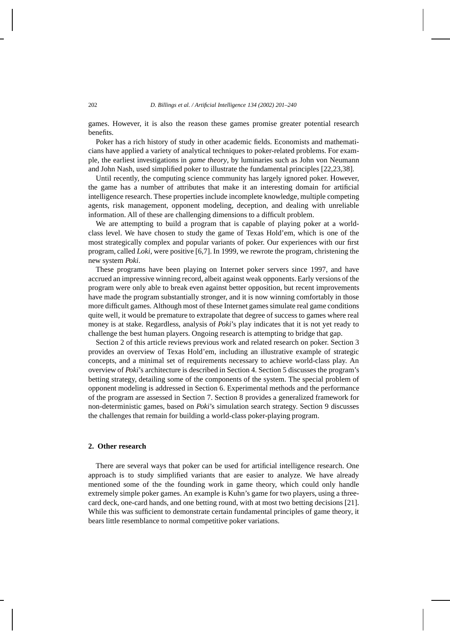games. However, it is also the reason these games promise greater potential research benefits.

Poker has a rich history of study in other academic fields. Economists and mathematicians have applied a variety of analytical techniques to poker-related problems. For example, the earliest investigations in *game theory*, by luminaries such as John von Neumann and John Nash, used simplified poker to illustrate the fundamental principles [22,23,38].

Until recently, the computing science community has largely ignored poker. However, the game has a number of attributes that make it an interesting domain for artificial intelligence research. These properties include incomplete knowledge, multiple competing agents, risk management, opponent modeling, deception, and dealing with unreliable information. All of these are challenging dimensions to a difficult problem.

We are attempting to build a program that is capable of playing poker at a worldclass level. We have chosen to study the game of Texas Hold'em, which is one of the most strategically complex and popular variants of poker. Our experiences with our first program, called *Loki*, were positive [6,7]. In 1999, we rewrote the program, christening the new system *Poki*.

These programs have been playing on Internet poker servers since 1997, and have accrued an impressive winning record, albeit against weak opponents. Early versions of the program were only able to break even against better opposition, but recent improvements have made the program substantially stronger, and it is now winning comfortably in those more difficult games. Although most of these Internet games simulate real game conditions quite well, it would be premature to extrapolate that degree of success to games where real money is at stake. Regardless, analysis of *Poki*'s play indicates that it is not yet ready to challenge the best human players. Ongoing research is attempting to bridge that gap.

Section 2 of this article reviews previous work and related research on poker. Section 3 provides an overview of Texas Hold'em, including an illustrative example of strategic concepts, and a minimal set of requirements necessary to achieve world-class play. An overview of *Poki*'s architecture is described in Section 4. Section 5 discusses the program's betting strategy, detailing some of the components of the system. The special problem of opponent modeling is addressed in Section 6. Experimental methods and the performance of the program are assessed in Section 7. Section 8 provides a generalized framework for non-deterministic games, based on *Poki*'s simulation search strategy. Section 9 discusses the challenges that remain for building a world-class poker-playing program.

## **2. Other research**

There are several ways that poker can be used for artificial intelligence research. One approach is to study simplified variants that are easier to analyze. We have already mentioned some of the the founding work in game theory, which could only handle extremely simple poker games. An example is Kuhn's game for two players, using a threecard deck, one-card hands, and one betting round, with at most two betting decisions [21]. While this was sufficient to demonstrate certain fundamental principles of game theory, it bears little resemblance to normal competitive poker variations.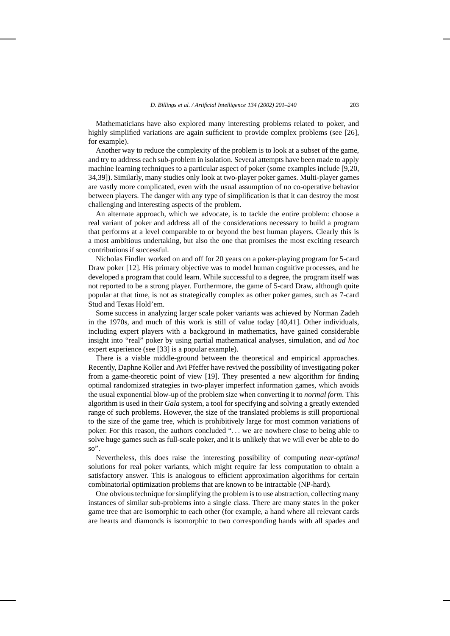Mathematicians have also explored many interesting problems related to poker, and highly simplified variations are again sufficient to provide complex problems (see [26], for example).

Another way to reduce the complexity of the problem is to look at a subset of the game, and try to address each sub-problem in isolation. Several attempts have been made to apply machine learning techniques to a particular aspect of poker (some examples include [9,20, 34,39]). Similarly, many studies only look at two-player poker games. Multi-player games are vastly more complicated, even with the usual assumption of no co-operative behavior between players. The danger with any type of simplification is that it can destroy the most challenging and interesting aspects of the problem.

An alternate approach, which we advocate, is to tackle the entire problem: choose a real variant of poker and address all of the considerations necessary to build a program that performs at a level comparable to or beyond the best human players. Clearly this is a most ambitious undertaking, but also the one that promises the most exciting research contributions if successful.

Nicholas Findler worked on and off for 20 years on a poker-playing program for 5-card Draw poker [12]. His primary objective was to model human cognitive processes, and he developed a program that could learn. While successful to a degree, the program itself was not reported to be a strong player. Furthermore, the game of 5-card Draw, although quite popular at that time, is not as strategically complex as other poker games, such as 7-card Stud and Texas Hold'em.

Some success in analyzing larger scale poker variants was achieved by Norman Zadeh in the 1970s, and much of this work is still of value today [40,41]. Other individuals, including expert players with a background in mathematics, have gained considerable insight into "real" poker by using partial mathematical analyses, simulation, and *ad hoc* expert experience (see [33] is a popular example).

There is a viable middle-ground between the theoretical and empirical approaches. Recently, Daphne Koller and Avi Pfeffer have revived the possibility of investigating poker from a game-theoretic point of view [19]. They presented a new algorithm for finding optimal randomized strategies in two-player imperfect information games, which avoids the usual exponential blow-up of the problem size when converting it to *normal form*. This algorithm is used in their *Gala* system, a tool for specifying and solving a greatly extended range of such problems. However, the size of the translated problems is still proportional to the size of the game tree, which is prohibitively large for most common variations of poker. For this reason, the authors concluded "*...* we are nowhere close to being able to solve huge games such as full-scale poker, and it is unlikely that we will ever be able to do so".

Nevertheless, this does raise the interesting possibility of computing *near-optimal* solutions for real poker variants, which might require far less computation to obtain a satisfactory answer. This is analogous to efficient approximation algorithms for certain combinatorial optimization problems that are known to be intractable (NP-hard).

One obvious technique for simplifying the problem is to use abstraction, collecting many instances of similar sub-problems into a single class. There are many states in the poker game tree that are isomorphic to each other (for example, a hand where all relevant cards are hearts and diamonds is isomorphic to two corresponding hands with all spades and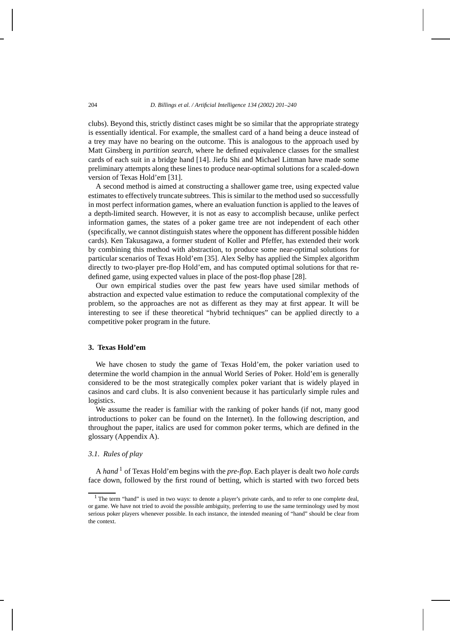clubs). Beyond this, strictly distinct cases might be so similar that the appropriate strategy is essentially identical. For example, the smallest card of a hand being a deuce instead of a trey may have no bearing on the outcome. This is analogous to the approach used by Matt Ginsberg in *partition search*, where he defined equivalence classes for the smallest cards of each suit in a bridge hand [14]. Jiefu Shi and Michael Littman have made some preliminary attempts along these lines to produce near-optimal solutions for a scaled-down version of Texas Hold'em [31].

A second method is aimed at constructing a shallower game tree, using expected value estimates to effectively truncate subtrees. This is similar to the method used so successfully in most perfect information games, where an evaluation function is applied to the leaves of a depth-limited search. However, it is not as easy to accomplish because, unlike perfect information games, the states of a poker game tree are not independent of each other (specifically, we cannot distinguish states where the opponent has different possible hidden cards). Ken Takusagawa, a former student of Koller and Pfeffer, has extended their work by combining this method with abstraction, to produce some near-optimal solutions for particular scenarios of Texas Hold'em [35]. Alex Selby has applied the Simplex algorithm directly to two-player pre-flop Hold'em, and has computed optimal solutions for that redefined game, using expected values in place of the post-flop phase [28].

Our own empirical studies over the past few years have used similar methods of abstraction and expected value estimation to reduce the computational complexity of the problem, so the approaches are not as different as they may at first appear. It will be interesting to see if these theoretical "hybrid techniques" can be applied directly to a competitive poker program in the future.

## **3. Texas Hold'em**

We have chosen to study the game of Texas Hold'em, the poker variation used to determine the world champion in the annual World Series of Poker. Hold'em is generally considered to be the most strategically complex poker variant that is widely played in casinos and card clubs. It is also convenient because it has particularly simple rules and logistics.

We assume the reader is familiar with the ranking of poker hands (if not, many good introductions to poker can be found on the Internet). In the following description, and throughout the paper, italics are used for common poker terms, which are defined in the glossary (Appendix A).

## *3.1. Rules of play*

A *hand* <sup>1</sup> of Texas Hold'em begins with the *pre-flop*. Each player is dealt two *hole cards* face down, followed by the first round of betting, which is started with two forced bets

<sup>&</sup>lt;sup>1</sup> The term "hand" is used in two ways: to denote a player's private cards, and to refer to one complete deal, or game. We have not tried to avoid the possible ambiguity, preferring to use the same terminology used by most serious poker players whenever possible. In each instance, the intended meaning of "hand" should be clear from the context.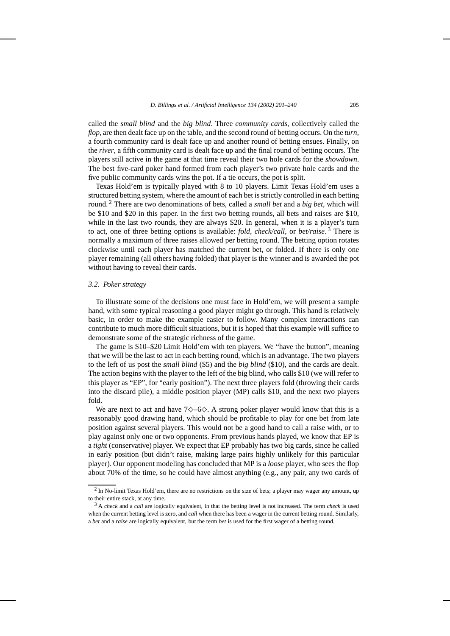called the *small blind* and the *big blind*. Three *community cards*, collectively called the *flop*, are then dealt face up on the table, and the second round of betting occurs. On the *turn*, a fourth community card is dealt face up and another round of betting ensues. Finally, on the *river*, a fifth community card is dealt face up and the final round of betting occurs. The players still active in the game at that time reveal their two hole cards for the *showdown*. The best five-card poker hand formed from each player's two private hole cards and the five public community cards wins the pot. If a tie occurs, the pot is split.

Texas Hold'em is typically played with 8 to 10 players. Limit Texas Hold'em uses a structured betting system, where the amount of each bet is strictly controlled in each betting round. <sup>2</sup> There are two denominations of bets, called a *small bet* and a *big bet*, which will be \$10 and \$20 in this paper. In the first two betting rounds, all bets and raises are \$10, while in the last two rounds, they are always \$20. In general, when it is a player's turn to act, one of three betting options is available: *fold*, *check/call*, or *bet/raise*. <sup>3</sup> There is normally a maximum of three raises allowed per betting round. The betting option rotates clockwise until each player has matched the current bet, or folded. If there is only one player remaining (all others having folded) that player is the winner and is awarded the pot without having to reveal their cards.

#### *3.2. Poker strategy*

To illustrate some of the decisions one must face in Hold'em, we will present a sample hand, with some typical reasoning a good player might go through. This hand is relatively basic, in order to make the example easier to follow. Many complex interactions can contribute to much more difficult situations, but it is hoped that this example will suffice to demonstrate some of the strategic richness of the game.

The game is \$10–\$20 Limit Hold'em with ten players. We "have the button", meaning that we will be the last to act in each betting round, which is an advantage. The two players to the left of us post the *small blind* (\$5) and the *big blind* (\$10), and the cards are dealt. The action begins with the player to the left of the big blind, who calls \$10 (we will refer to this player as "EP", for "early position"). The next three players fold (throwing their cards into the discard pile), a middle position player (MP) calls \$10, and the next two players fold.

We are next to act and have  $7\diamondsuit -6\diamondsuit$ . A strong poker player would know that this is a reasonably good drawing hand, which should be profitable to play for one bet from late position against several players. This would not be a good hand to call a raise with, or to play against only one or two opponents. From previous hands played, we know that EP is a *tight* (conservative) player. We expect that EP probably has two big cards, since he called in early position (but didn't raise, making large pairs highly unlikely for this particular player). Our opponent modeling has concluded that MP is a *loose* player, who sees the flop about 70% of the time, so he could have almost anything (e.g., any pair, any two cards of

<sup>2</sup> In No-limit Texas Hold'em, there are no restrictions on the size of bets; a player may wager any amount, up to their entire stack, at any time.

<sup>3</sup> A *check* and a *call* are logically equivalent, in that the betting level is not increased. The term *check* is used when the current betting level is zero, and *call* when there has been a wager in the current betting round. Similarly, a *bet* and a *raise* are logically equivalent, but the term *bet* is used for the first wager of a betting round.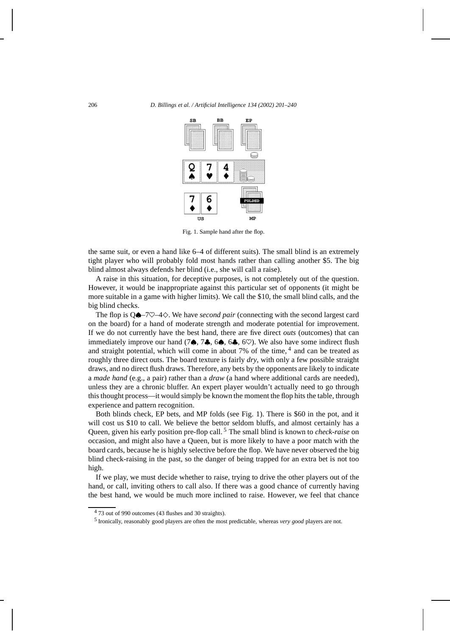

Fig. 1. Sample hand after the flop.

the same suit, or even a hand like 6–4 of different suits). The small blind is an extremely tight player who will probably fold most hands rather than calling another \$5. The big blind almost always defends her blind (i.e., she will call a raise).

A raise in this situation, for deceptive purposes, is not completely out of the question. However, it would be inappropriate against this particular set of opponents (it might be more suitable in a game with higher limits). We call the \$10, the small blind calls, and the big blind checks.

The flop is  $Q\spadesuit$ –7 $\heartsuit$ –4 $\diamond$ . We have *second pair* (connecting with the second largest card on the board) for a hand of moderate strength and moderate potential for improvement. If we do not currently have the best hand, there are five direct *outs* (outcomes) that can immediately improve our hand (7 $\spadesuit$ , 7 $\clubsuit$ , 6 $\spadesuit$ , 6 $\clubsuit$ , 6 $\heartsuit$ ). We also have some indirect flush and straight potential, which will come in about  $7\%$  of the time,  $4$  and can be treated as roughly three direct outs. The board texture is fairly *dry*, with only a few possible straight draws, and no direct flush draws. Therefore, any bets by the opponents are likely to indicate a *made hand* (e.g., a pair) rather than a *draw* (a hand where additional cards are needed), unless they are a chronic bluffer. An expert player wouldn't actually need to go through this thought process—it would simply be known the moment the flop hits the table, through experience and pattern recognition.

Both blinds check, EP bets, and MP folds (see Fig. 1). There is \$60 in the pot, and it will cost us \$10 to call. We believe the bettor seldom bluffs, and almost certainly has a Queen, given his early position pre-flop call. <sup>5</sup> The small blind is known to *check-raise* on occasion, and might also have a Queen, but is more likely to have a poor match with the board cards, because he is highly selective before the flop. We have never observed the big blind check-raising in the past, so the danger of being trapped for an extra bet is not too high.

If we play, we must decide whether to raise, trying to drive the other players out of the hand, or call, inviting others to call also. If there was a good chance of currently having the best hand, we would be much more inclined to raise. However, we feel that chance

<sup>4</sup> 73 out of 990 outcomes (43 flushes and 30 straights).

<sup>5</sup> Ironically, reasonably good players are often the most predictable, whereas *very good* players are not.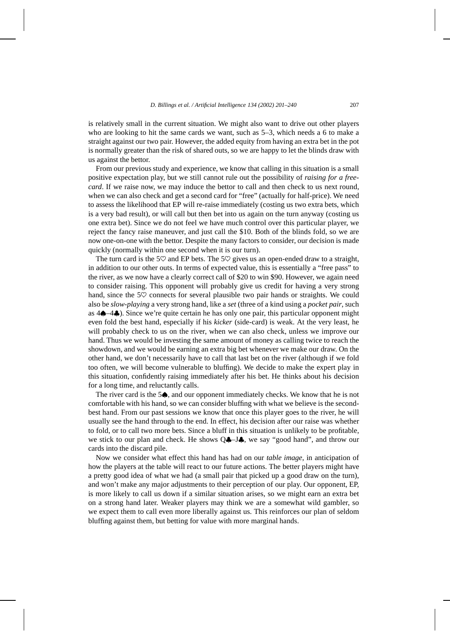is relatively small in the current situation. We might also want to drive out other players who are looking to hit the same cards we want, such as 5–3, which needs a 6 to make a straight against our two pair. However, the added equity from having an extra bet in the pot is normally greater than the risk of shared outs, so we are happy to let the blinds draw with us against the bettor.

From our previous study and experience, we know that calling in this situation is a small positive expectation play, but we still cannot rule out the possibility of *raising for a freecard*. If we raise now, we may induce the bettor to call and then check to us next round, when we can also check and get a second card for "free" (actually for half-price). We need to assess the likelihood that EP will re-raise immediately (costing us two extra bets, which is a very bad result), or will call but then bet into us again on the turn anyway (costing us one extra bet). Since we do not feel we have much control over this particular player, we reject the fancy raise maneuver, and just call the \$10. Both of the blinds fold, so we are now one-on-one with the bettor. Despite the many factors to consider, our decision is made quickly (normally within one second when it is our turn).

The turn card is the 5 $\heartsuit$  and EP bets. The 5 $\heartsuit$  gives us an open-ended draw to a straight, in addition to our other outs. In terms of expected value, this is essentially a "free pass" to the river, as we now have a clearly correct call of \$20 to win \$90. However, we again need to consider raising. This opponent will probably give us credit for having a very strong hand, since the  $5\heartsuit$  connects for several plausible two pair hands or straights. We could also be *slow-playing* a very strong hand, like a *set* (three of a kind using a *pocket pair*, such as 4♠–4♣). Since we're quite certain he has only one pair, this particular opponent might even fold the best hand, especially if his *kicker* (side-card) is weak. At the very least, he will probably check to us on the river, when we can also check, unless we improve our hand. Thus we would be investing the same amount of money as calling twice to reach the showdown, and we would be earning an extra big bet whenever we make our draw. On the other hand, we don't necessarily have to call that last bet on the river (although if we fold too often, we will become vulnerable to bluffing). We decide to make the expert play in this situation, confidently raising immediately after his bet. He thinks about his decision for a long time, and reluctantly calls.

The river card is the 5♠, and our opponent immediately checks. We know that he is not comfortable with his hand, so we can consider bluffing with what we believe is the secondbest hand. From our past sessions we know that once this player goes to the river, he will usually see the hand through to the end. In effect, his decision after our raise was whether to fold, or to call two more bets. Since a bluff in this situation is unlikely to be profitable, we stick to our plan and check. He shows Q♣–J♣, we say "good hand", and throw our cards into the discard pile.

Now we consider what effect this hand has had on our *table image*, in anticipation of how the players at the table will react to our future actions. The better players might have a pretty good idea of what we had (a small pair that picked up a good draw on the turn), and won't make any major adjustments to their perception of our play. Our opponent, EP, is more likely to call us down if a similar situation arises, so we might earn an extra bet on a strong hand later. Weaker players may think we are a somewhat wild gambler, so we expect them to call even more liberally against us. This reinforces our plan of seldom bluffing against them, but betting for value with more marginal hands.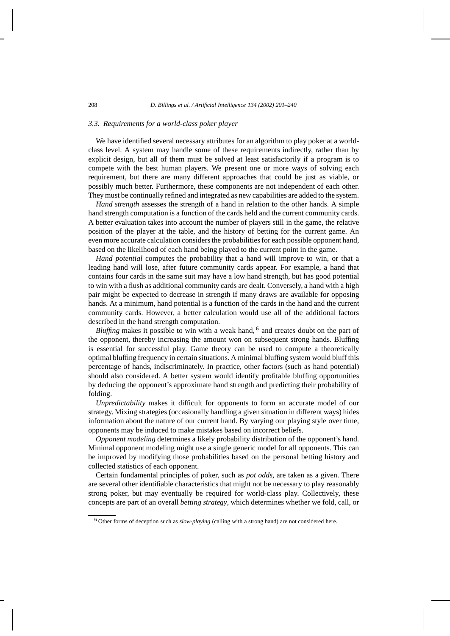#### *3.3. Requirements for a world-class poker player*

We have identified several necessary attributes for an algorithm to play poker at a worldclass level. A system may handle some of these requirements indirectly, rather than by explicit design, but all of them must be solved at least satisfactorily if a program is to compete with the best human players. We present one or more ways of solving each requirement, but there are many different approaches that could be just as viable, or possibly much better. Furthermore, these components are not independent of each other. They must be continually refined and integrated as new capabilities are added to the system.

*Hand strength* assesses the strength of a hand in relation to the other hands. A simple hand strength computation is a function of the cards held and the current community cards. A better evaluation takes into account the number of players still in the game, the relative position of the player at the table, and the history of betting for the current game. An even more accurate calculation considers the probabilities for each possible opponent hand, based on the likelihood of each hand being played to the current point in the game.

*Hand potential* computes the probability that a hand will improve to win, or that a leading hand will lose, after future community cards appear. For example, a hand that contains four cards in the same suit may have a low hand strength, but has good potential to win with a flush as additional community cards are dealt. Conversely, a hand with a high pair might be expected to decrease in strength if many draws are available for opposing hands. At a minimum, hand potential is a function of the cards in the hand and the current community cards. However, a better calculation would use all of the additional factors described in the hand strength computation.

*Bluffing* makes it possible to win with a weak hand, <sup>6</sup> and creates doubt on the part of the opponent, thereby increasing the amount won on subsequent strong hands. Bluffing is essential for successful play. Game theory can be used to compute a theoretically optimal bluffing frequency in certain situations. A minimal bluffing system would bluff this percentage of hands, indiscriminately. In practice, other factors (such as hand potential) should also considered. A better system would identify profitable bluffing opportunities by deducing the opponent's approximate hand strength and predicting their probability of folding.

*Unpredictability* makes it difficult for opponents to form an accurate model of our strategy. Mixing strategies (occasionally handling a given situation in different ways) hides information about the nature of our current hand. By varying our playing style over time, opponents may be induced to make mistakes based on incorrect beliefs.

*Opponent modeling* determines a likely probability distribution of the opponent's hand. Minimal opponent modeling might use a single generic model for all opponents. This can be improved by modifying those probabilities based on the personal betting history and collected statistics of each opponent.

Certain fundamental principles of poker, such as *pot odds*, are taken as a given. There are several other identifiable characteristics that might not be necessary to play reasonably strong poker, but may eventually be required for world-class play. Collectively, these concepts are part of an overall *betting strategy*, which determines whether we fold, call, or

<sup>6</sup> Other forms of deception such as *slow-playing* (calling with a strong hand) are not considered here.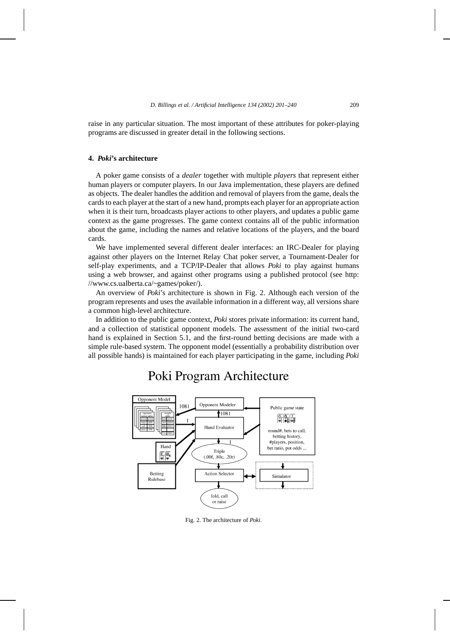raise in any particular situation. The most important of these attributes for poker-playing programs are discussed in greater detail in the following sections.

#### **4.** *Poki***'s architecture**

A poker game consists of a *dealer* together with multiple *players* that represent either human players or computer players. In our Java implementation, these players are defined as objects. The dealer handles the addition and removal of players from the game, deals the cards to each player at the start of a new hand, prompts each player for an appropriate action when it is their turn, broadcasts player actions to other players, and updates a public game context as the game progresses. The game context contains all of the public information about the game, including the names and relative locations of the players, and the board cards.

We have implemented several different dealer interfaces: an IRC-Dealer for playing against other players on the Internet Relay Chat poker server, a Tournament-Dealer for self-play experiments, and a TCP/IP-Dealer that allows *Poki* to play against humans using a web browser, and against other programs using a published protocol (see http: //www.cs.ualberta.ca/~games/poker/).

An overview of *Poki*'s architecture is shown in Fig. 2. Although each version of the program represents and uses the available information in a different way, all versions share a common high-level architecture.

In addition to the public game context, *Poki* stores private information: its current hand, and a collection of statistical opponent models. The assessment of the initial two-card hand is explained in Section 5.1, and the first-round betting decisions are made with a simple rule-based system. The opponent model (essentially a probability distribution over all possible hands) is maintained for each player participating in the game, including *Poki*



## Poki Program Architecture

Fig. 2. The architecture of *Poki*.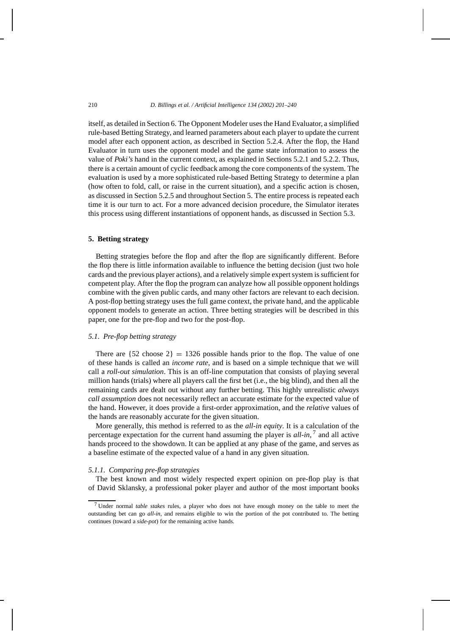itself, as detailed in Section 6. The Opponent Modeler uses the Hand Evaluator, a simplified rule-based Betting Strategy, and learned parameters about each player to update the current model after each opponent action, as described in Section 5.2.4. After the flop, the Hand Evaluator in turn uses the opponent model and the game state information to assess the value of *Poki's* hand in the current context, as explained in Sections 5.2.1 and 5.2.2. Thus, there is a certain amount of cyclic feedback among the core components of the system. The evaluation is used by a more sophisticated rule-based Betting Strategy to determine a plan (how often to fold, call, or raise in the current situation), and a specific action is chosen, as discussed in Section 5.2.5 and throughout Section 5. The entire process is repeated each time it is our turn to act. For a more advanced decision procedure, the Simulator iterates this process using different instantiations of opponent hands, as discussed in Section 5.3.

## **5. Betting strategy**

Betting strategies before the flop and after the flop are significantly different. Before the flop there is little information available to influence the betting decision (just two hole cards and the previous player actions), and a relatively simple expert system is sufficient for competent play. After the flop the program can analyze how all possible opponent holdings combine with the given public cards, and many other factors are relevant to each decision. A post-flop betting strategy uses the full game context, the private hand, and the applicable opponent models to generate an action. Three betting strategies will be described in this paper, one for the pre-flop and two for the post-flop.

## *5.1. Pre-flop betting strategy*

There are  $\{52 \text{ choose } 2\} = 1326$  possible hands prior to the flop. The value of one of these hands is called an *income rate*, and is based on a simple technique that we will call a *roll-out simulation*. This is an off-line computation that consists of playing several million hands (trials) where all players call the first bet (i.e., the big blind), and then all the remaining cards are dealt out without any further betting. This highly unrealistic *always call assumption* does not necessarily reflect an accurate estimate for the expected value of the hand. However, it does provide a first-order approximation, and the *relative* values of the hands are reasonably accurate for the given situation.

More generally, this method is referred to as the *all-in equity*. It is a calculation of the percentage expectation for the current hand assuming the player is *all-in*, <sup>7</sup> and all active hands proceed to the showdown. It can be applied at any phase of the game, and serves as a baseline estimate of the expected value of a hand in any given situation.

#### *5.1.1. Comparing pre-flop strategies*

The best known and most widely respected expert opinion on pre-flop play is that of David Sklansky, a professional poker player and author of the most important books

<sup>7</sup> Under normal *table stakes* rules, a player who does not have enough money on the table to meet the outstanding bet can go *all-in*, and remains eligible to win the portion of the pot contributed to. The betting continues (toward a *side-pot*) for the remaining active hands.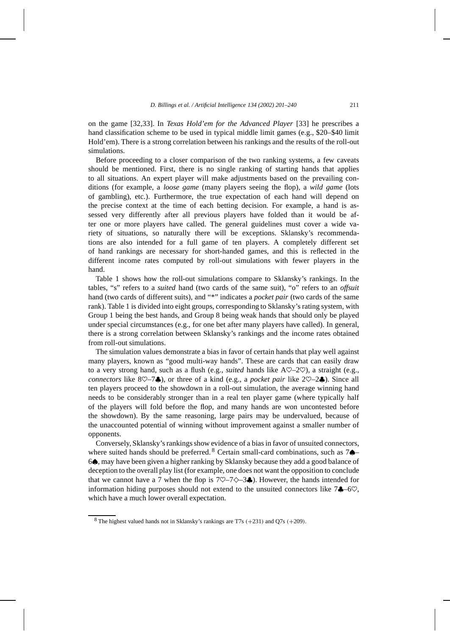on the game [32,33]. In *Texas Hold'em for the Advanced Player* [33] he prescribes a hand classification scheme to be used in typical middle limit games (e.g., \$20–\$40 limit Hold'em). There is a strong correlation between his rankings and the results of the roll-out simulations.

Before proceeding to a closer comparison of the two ranking systems, a few caveats should be mentioned. First, there is no single ranking of starting hands that applies to all situations. An expert player will make adjustments based on the prevailing conditions (for example, a *loose game* (many players seeing the flop), a *wild game* (lots of gambling), etc.). Furthermore, the true expectation of each hand will depend on the precise context at the time of each betting decision. For example, a hand is assessed very differently after all previous players have folded than it would be after one or more players have called. The general guidelines must cover a wide variety of situations, so naturally there will be exceptions. Sklansky's recommendations are also intended for a full game of ten players. A completely different set of hand rankings are necessary for short-handed games, and this is reflected in the different income rates computed by roll-out simulations with fewer players in the hand.

Table 1 shows how the roll-out simulations compare to Sklansky's rankings. In the tables, "s" refers to a *suited* hand (two cards of the same suit), "o" refers to an *offsuit* hand (two cards of different suits), and "\*" indicates a *pocket pair* (two cards of the same rank). Table 1 is divided into eight groups, corresponding to Sklansky's rating system, with Group 1 being the best hands, and Group 8 being weak hands that should only be played under special circumstances (e.g., for one bet after many players have called). In general, there is a strong correlation between Sklansky's rankings and the income rates obtained from roll-out simulations.

The simulation values demonstrate a bias in favor of certain hands that play well against many players, known as "good multi-way hands". These are cards that can easily draw to a very strong hand, such as a flush (e.g., *suited* hands like  $A\heartsuit$ –2 $\heartsuit$ ), a straight (e.g., *connectors* like 8♡–7♣), or three of a kind (e.g., a *pocket pair* like 2♡–2♣). Since all ten players proceed to the showdown in a roll-out simulation, the average winning hand needs to be considerably stronger than in a real ten player game (where typically half of the players will fold before the flop, and many hands are won uncontested before the showdown). By the same reasoning, large pairs may be undervalued, because of the unaccounted potential of winning without improvement against a smaller number of opponents.

Conversely, Sklansky's rankings show evidence of a bias in favor of unsuited connectors, where suited hands should be preferred.<sup>8</sup> Certain small-card combinations, such as 7♦– 6♠, may have been given a higher ranking by Sklansky because they add a good balance of deception to the overall play list (for example, one does not want the opposition to conclude that we cannot have a 7 when the flop is  $7\heartsuit$ –7 $\diamond$ –3 $\clubsuit$ ). However, the hands intended for information hiding purposes should not extend to the unsuited connectors like  $7\clubsuit -6\heartsuit$ , which have a much lower overall expectation.

<sup>8</sup> The highest valued hands not in Sklansky's rankings are T7s *(*+231*)* and Q7s *(*+209*)*.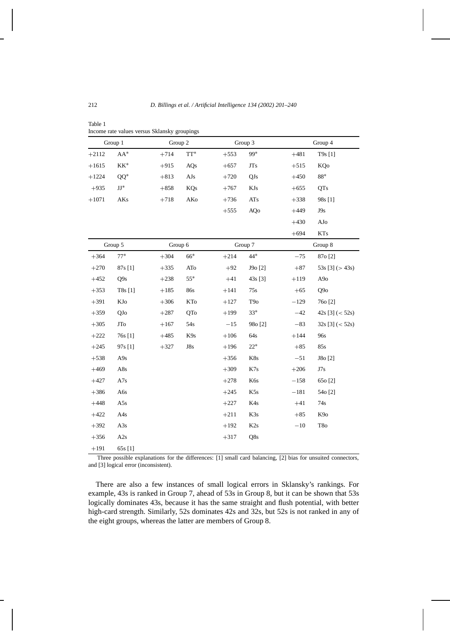|         |                 | Income rate values versus Sklansky groupings |        |        |                 |        |                       |  |  |
|---------|-----------------|----------------------------------------------|--------|--------|-----------------|--------|-----------------------|--|--|
| Group 1 |                 | Group 2                                      |        |        | Group 3         |        | Group 4               |  |  |
| $+2112$ | $AA^*$          | $+714$                                       | $TT^*$ | $+553$ | 99*             | $+481$ | T9s [1]               |  |  |
| $+1615$ | $\rm KK^*$      | $+915$                                       | AQs    | $+657$ | <b>JTs</b>      | $+515$ | KQo                   |  |  |
| $+1224$ | $QQ^*$          | $+813$                                       | $A$ Js | $+720$ | QJs             | $+450$ | 88*                   |  |  |
| $+935$  | $\mathrm{JJ}^*$ | $+858$                                       | KQs    | $+767$ | KJs             | $+655$ | QTs                   |  |  |
| $+1071$ | AKs             | $+718$                                       | AKo    | $+736$ | AT <sub>s</sub> | $+338$ | 98s [1]               |  |  |
|         |                 |                                              |        | $+555$ | AQo             | $+449$ | J9s                   |  |  |
|         |                 |                                              |        |        |                 | $+430$ | AJo                   |  |  |
|         |                 |                                              |        |        |                 | $+694$ | <b>KTs</b>            |  |  |
| Group 5 |                 | Group 6                                      |        |        | Group 7         |        | Group 8               |  |  |
| $+364$  | $77*$           | $+304$                                       | $66*$  | $+214$ | $44*$           | $-75$  | 87o [2]               |  |  |
| $+270$  | 87s [1]         | $+335$                                       | ATo    | $+92$  | J9o [2]         | $+87$  | $53s$ [3] ( $> 43s$ ) |  |  |
| $+452$  | Q9s             | $+238$                                       | $55*$  | $+41$  | 43s $[3]$       | $+119$ | A9o                   |  |  |
| $+353$  | T8s[1]          | $+185$                                       | 86s    | $+141$ | 75s             | $+65$  | Q <sub>90</sub>       |  |  |
| $+391$  | KJo             | $+306$                                       | KTo    | $+127$ | T <sub>90</sub> | $-129$ | 760 [2]               |  |  |
| $+359$  | QJo             | $+287$                                       | QTo    | $+199$ | $33*$           | $-42$  | $42s$ [3] (< 52s)     |  |  |
| $+305$  | <b>JTo</b>      | $+167$                                       | 54s    | $-15$  | 980 [2]         | $-83$  | 32s [3] (< 52s)       |  |  |
| $+222$  | 76s [1]         | $+485$                                       | K9s    | $+106$ | 64s             | $+144$ | 96s                   |  |  |
| $+245$  | 97s [1]         | $+327$                                       | J8s    | $+196$ | $22*$           | $+85$  | 85s                   |  |  |
| $+538$  | A9s             |                                              |        | $+356$ | K8s             | $-51$  | J80 [2]               |  |  |
| $+469$  | A8s             |                                              |        | $+309$ | K7s             | $+206$ | J7s                   |  |  |
| $+427$  | A7s             |                                              |        | $+278$ | K6s             | $-158$ | 650 [2]               |  |  |
| $+386$  | A6s             |                                              |        | $+245$ | K5s             | $-181$ | 54o [2]               |  |  |
| $+448$  | A5s             |                                              |        | $+227$ | K4s             | $+41$  | 74s                   |  |  |
| $+422$  | A <sub>4s</sub> |                                              |        | $+211$ | K3s             | $+85$  | K90                   |  |  |
| $+392$  | A3s             |                                              |        | $+192$ | K2s             | $-10$  | T <sub>80</sub>       |  |  |
| $+356$  | A2s             |                                              |        | $+317$ | Q8s             |        |                       |  |  |
| $+191$  | 65s [1]         |                                              |        |        |                 |        |                       |  |  |

Three possible explanations for the differences: [1] small card balancing, [2] bias for unsuited connectors, and [3] logical error (inconsistent).

There are also a few instances of small logical errors in Sklansky's rankings. For example, 43s is ranked in Group 7, ahead of 53s in Group 8, but it can be shown that 53s logically dominates 43s, because it has the same straight and flush potential, with better high-card strength. Similarly, 52s dominates 42s and 32s, but 52s is not ranked in any of the eight groups, whereas the latter are members of Group 8.

Table 1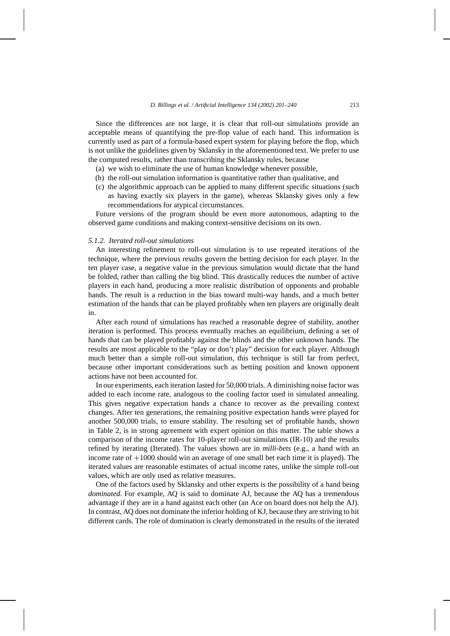Since the differences are not large, it is clear that roll-out simulations provide an acceptable means of quantifying the pre-flop value of each hand. This information is currently used as part of a formula-based expert system for playing before the flop, which is not unlike the guidelines given by Sklansky in the aforementioned text. We prefer to use the computed results, rather than transcribing the Sklansky rules, because

- (a) we wish to eliminate the use of human knowledge whenever possible,
- (b) the roll-out simulation information is quantitative rather than qualitative, and
- (c) the algorithmic approach can be applied to many different specific situations (such as having exactly six players in the game), whereas Sklansky gives only a few recommendations for atypical circumstances.

Future versions of the program should be even more autonomous, adapting to the observed game conditions and making context-sensitive decisions on its own.

#### *5.1.2. Iterated roll-out simulations*

An interesting refinement to roll-out simulation is to use repeated iterations of the technique, where the previous results govern the betting decision for each player. In the ten player case, a negative value in the previous simulation would dictate that the hand be folded, rather than calling the big blind. This drastically reduces the number of active players in each hand, producing a more realistic distribution of opponents and probable hands. The result is a reduction in the bias toward multi-way hands, and a much better estimation of the hands that can be played profitably when ten players are originally dealt in.

After each round of simulations has reached a reasonable degree of stability, another iteration is performed. This process eventually reaches an equilibrium, defining a set of hands that can be played profitably against the blinds and the other unknown hands. The results are most applicable to the "play or don't play" decision for each player. Although much better than a simple roll-out simulation, this technique is still far from perfect, because other important considerations such as betting position and known opponent actions have not been accounted for.

In our experiments, each iteration lasted for 50,000 trials. A diminishing noise factor was added to each income rate, analogous to the cooling factor used in simulated annealing. This gives negative expectation hands a chance to recover as the prevailing context changes. After ten generations, the remaining positive expectation hands were played for another 500,000 trials, to ensure stability. The resulting set of profitable hands, shown in Table 2, is in strong agreement with expert opinion on this matter. The table shows a comparison of the income rates for 10-player roll-out simulations (IR-10) and the results refined by iterating (Iterated). The values shown are in *milli-bets* (e.g., a hand with an income rate of +1000 should win an average of one small bet each time it is played). The iterated values are reasonable estimates of actual income rates, unlike the simple roll-out values, which are only used as relative measures.

One of the factors used by Sklansky and other experts is the possibility of a hand being *dominated*. For example, AQ is said to dominate AJ, because the AQ has a tremendous advantage if they are in a hand against each other (an Ace on board does not help the AJ). In contrast, AQ does not dominate the inferior holding of KJ, because they are striving to hit different cards. The role of domination is clearly demonstrated in the results of the iterated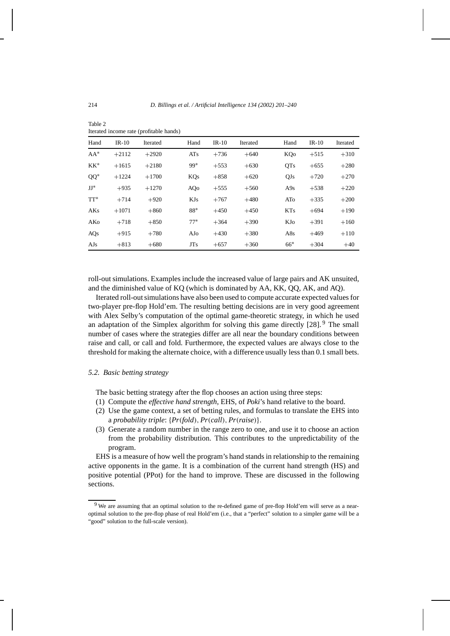| Hand   | $IR-10$ | Iterated | Hand            | $IR-10$ | Iterated | Hand       | $IR-10$ | Iterated |
|--------|---------|----------|-----------------|---------|----------|------------|---------|----------|
| $AA^*$ | $+2112$ | $+2920$  | <b>ATs</b>      | $+736$  | $+640$   | KOo        | $+515$  | $+310$   |
| $KK^*$ | $+1615$ | $+2180$  | $99*$           | $+553$  | $+630$   | <b>OTs</b> | $+655$  | $+280$   |
| $QQ^*$ | $+1224$ | $+1700$  | KQs             | $+858$  | $+620$   | QJs        | $+720$  | $+270$   |
| $JJ^*$ | $+935$  | $+1270$  | AQo             | $+555$  | $+560$   | A9s        | $+538$  | $+220$   |
| $TT^*$ | $+714$  | $+920$   | <b>KJs</b>      | $+767$  | $+480$   | ATo        | $+335$  | $+200$   |
| AKs    | $+1071$ | $+860$   | $88*$           | $+450$  | $+450$   | <b>KTs</b> | $+694$  | $+190$   |
| AKo    | $+718$  | $+850$   | $77*$           | $+364$  | $+390$   | KJo        | $+391$  | $+160$   |
| AQs    | $+915$  | $+780$   | AJ <sub>O</sub> | $+430$  | $+380$   | A8s        | $+469$  | $+110$   |
| $A$ Js | $+813$  | $+680$   | <b>JTs</b>      | $+657$  | $+360$   | $66*$      | $+304$  | $+40$    |

Table 2 Iterated income rate (profitable hands)

roll-out simulations. Examples include the increased value of large pairs and AK unsuited, and the diminished value of KQ (which is dominated by AA, KK, QQ, AK, and AQ).

Iterated roll-out simulations have also been used to compute accurate expected values for two-player pre-flop Hold'em. The resulting betting decisions are in very good agreement with Alex Selby's computation of the optimal game-theoretic strategy, in which he used an adaptation of the Simplex algorithm for solving this game directly  $[28]$ . <sup>9</sup> The small number of cases where the strategies differ are all near the boundary conditions between raise and call, or call and fold. Furthermore, the expected values are always close to the threshold for making the alternate choice, with a difference usually less than 0.1 small bets.

#### *5.2. Basic betting strategy*

The basic betting strategy after the flop chooses an action using three steps:

- (1) Compute the *effective hand strength*, EHS, of *Poki*'s hand relative to the board.
- (2) Use the game context, a set of betting rules, and formulas to translate the EHS into a *probability triple*: {*Pr(fold),Pr(call),Pr(raise)*}.
- (3) Generate a random number in the range zero to one, and use it to choose an action from the probability distribution. This contributes to the unpredictability of the program.

EHS is a measure of how well the program's hand stands in relationship to the remaining active opponents in the game. It is a combination of the current hand strength (HS) and positive potential (PPot) for the hand to improve. These are discussed in the following sections.

<sup>&</sup>lt;sup>9</sup> We are assuming that an optimal solution to the re-defined game of pre-flop Hold'em will serve as a nearoptimal solution to the pre-flop phase of real Hold'em (i.e., that a "perfect" solution to a simpler game will be a "good" solution to the full-scale version).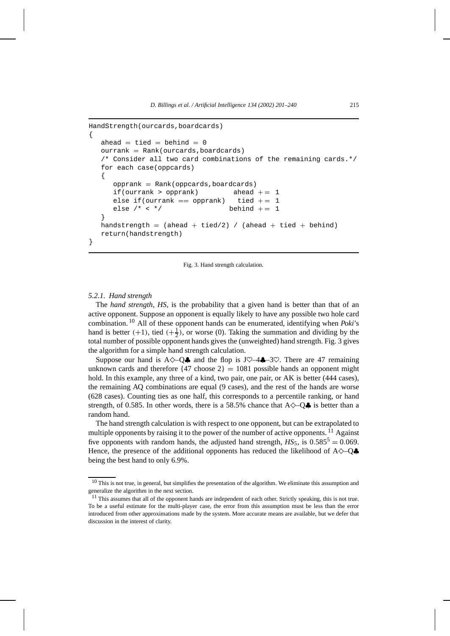```
HandStrength(ourcards,boardcards)
{
  ahead = tied = behind = 0ourrank = Rank(ourcards, boardcards)/* Consider all two card combinations of the remaining cards.*/
  for each case(oppcards)
   {
     opprank = Rank(oppcards, boardcards)if(ourrank > opprank) ahead += 1else if(ourrank == opprank) tied += 1else /* < */ behind += 1
   }
  handstrength = (ahead + tied/2) / (ahead + tied + behind)
  return(handstrength)
}
```
#### Fig. 3. Hand strength calculation.

#### *5.2.1. Hand strength*

The *hand strength*, *HS*, is the probability that a given hand is better than that of an active opponent. Suppose an opponent is equally likely to have any possible two hole card combination. <sup>10</sup> All of these opponent hands can be enumerated, identifying when *Poki*'s hand is better  $(+1)$ , tied  $(+\frac{1}{2})$ , or worse (0). Taking the summation and dividing by the total number of possible opponent hands gives the (unweighted) hand strength. Fig. 3 gives the algorithm for a simple hand strength calculation.

Suppose our hand is  $A \Diamond \neg O \clubsuit$  and the flop is J $\heartsuit \neg \exists \Diamond$ . There are 47 remaining unknown cards and therefore  $\{47 \text{ choose } 2\} = 1081 \text{ possible hands}$  an opponent might hold. In this example, any three of a kind, two pair, one pair, or AK is better (444 cases), the remaining AQ combinations are equal (9 cases), and the rest of the hands are worse (628 cases). Counting ties as one half, this corresponds to a percentile ranking, or hand strength, of 0.585. In other words, there is a 58.5% chance that  $A \diamondsuit - Q \clubsuit$  is better than a random hand.

The hand strength calculation is with respect to one opponent, but can be extrapolated to multiple opponents by raising it to the power of the number of active opponents.  $^{11}$  Against five opponents with random hands, the adjusted hand strength,  $HS_5$ , is  $0.585^5 = 0.069$ . Hence, the presence of the additional opponents has reduced the likelihood of  $A \diamondsuit$ – $Q\clubsuit$ being the best hand to only 6.9%.

 $10$  This is not true, in general, but simplifies the presentation of the algorithm. We eliminate this assumption and generalize the algorithm in the next section.

<sup>&</sup>lt;sup>11</sup> This assumes that all of the opponent hands are independent of each other. Strictly speaking, this is not true. To be a useful estimate for the multi-player case, the error from this assumption must be less than the error introduced from other approximations made by the system. More accurate means are available, but we defer that discussion in the interest of clarity.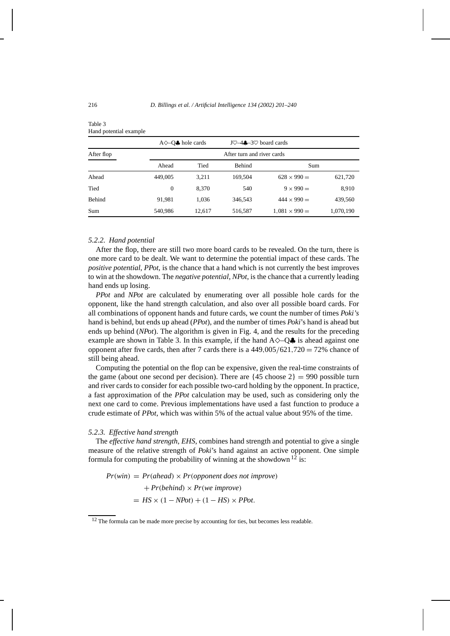|               | $A \diamond -O \clubsuit$ hole cards |        | $JQ - 4$ $-3Q$ board cards |                      |           |
|---------------|--------------------------------------|--------|----------------------------|----------------------|-----------|
| After flop    |                                      |        | After turn and river cards |                      |           |
|               | Ahead                                | Tied   | <b>Behind</b>              | Sum                  |           |
| Ahead         | 449,005                              | 3.211  | 169,504                    | $628 \times 990 =$   | 621,720   |
| Tied          | $\mathbf{0}$                         | 8.370  | 540                        | $9 \times 990 =$     | 8,910     |
| <b>Behind</b> | 91.981                               | 1.036  | 346,543                    | $444 \times 990 =$   | 439.560   |
| Sum           | 540,986                              | 12,617 | 516,587                    | $1.081 \times 990 =$ | 1,070,190 |

#### Table 3 Hand potential example

#### *5.2.2. Hand potential*

After the flop, there are still two more board cards to be revealed. On the turn, there is one more card to be dealt. We want to determine the potential impact of these cards. The *positive potential*, *PPot*, is the chance that a hand which is not currently the best improves to win at the showdown. The *negative potential*, *NPot*, is the chance that a currently leading hand ends up losing.

*PPot* and *NPot* are calculated by enumerating over all possible hole cards for the opponent, like the hand strength calculation, and also over all possible board cards. For all combinations of opponent hands and future cards, we count the number of times *Poki's* hand is behind, but ends up ahead (*PPot*), and the number of times *Poki*'s hand is ahead but ends up behind (*NPot*). The algorithm is given in Fig. 4, and the results for the preceding example are shown in Table 3. In this example, if the hand  $A \Diamond$ – $Q$  $\bullet$  is ahead against one opponent after five cards, then after 7 cards there is a 449*,*005*/*621*,*720 = 72% chance of still being ahead.

Computing the potential on the flop can be expensive, given the real-time constraints of the game (about one second per decision). There are  $\{45 \text{ choose } 2\} = 990 \text{ possible turn}$ and river cards to consider for each possible two-card holding by the opponent. In practice, a fast approximation of the *PPot* calculation may be used, such as considering only the next one card to come. Previous implementations have used a fast function to produce a crude estimate of *PPot*, which was within 5% of the actual value about 95% of the time.

### *5.2.3. Effective hand strength*

The *effective hand strength*, *EHS*, combines hand strength and potential to give a single measure of the relative strength of *Poki*'s hand against an active opponent. One simple formula for computing the probability of winning at the showdown  $12$  is:

$$
Pr(win) = Pr(shead) \times Pr(opponent does not improve)
$$

$$
+ Pr(behind) \times Pr(we improve)
$$

$$
= HS \times (1 - NPot) + (1 - HS) \times PPot.
$$

<sup>&</sup>lt;sup>12</sup> The formula can be made more precise by accounting for ties, but becomes less readable.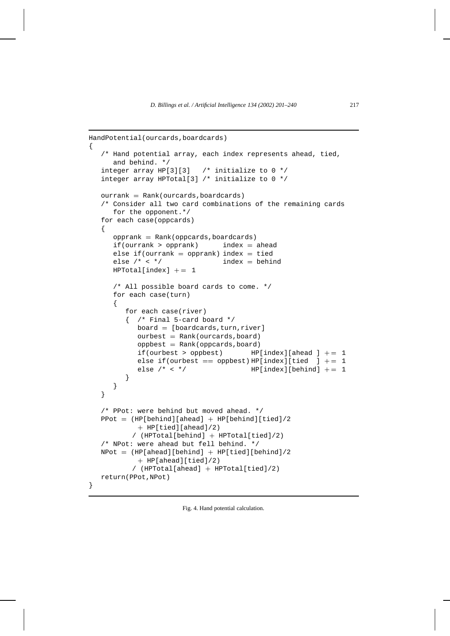```
HandPotential(ourcards,boardcards)
{
  /* Hand potential array, each index represents ahead, tied,
     and behind. */
  integer array HP[3][3] /* initialize to 0 */integer array HPTotal[3] /* initialize to 0 */
  ourrank = Rank(ourcards,boardcards)
  /* Consider all two card combinations of the remaining cards
     for the opponent.*/
  for each case(oppcards)
  {
     opprank = Rank(oppcards,boardcards)
     if(ourrank > opprank) index = ahead
     else if(ourrank = opprank) index = tied
     else /* < */ index = behind
     HPTotal[index] += 1/* All possible board cards to come. */
     for each case(turn)
     {
        for each case(river)
        \{ /* Final 5-card board */
           board = [boards, turn, river]ourbest = Rank(ourcards, board)oppbest = Rank(oppcards, board)if(ourbest > oppbest) HP[index][ahead] += 1else if(ourbest == oppbest) HP[index][tied ] += 1
           else /* < */ HP[index][behind] + = 1
        }
     }
  }
   /* PPot: were behind but moved ahead. */
  PPot = (HP[behind][ahead] + HP[behind][tied]/2+ HP[tied][ahead]/2)
          / (HPTotal[behind] + HPTotal[tied]/2)
  /* NPot: were ahead but fell behind. */
  NPot = (HP[ahead][behind] + HP[tied][behind]/2+ HP[ahead][tied]/2)
          / (HPTotal[ahead] + HPTotal[tied]/2)
  return(PPot,NPot)
}
```
Fig. 4. Hand potential calculation.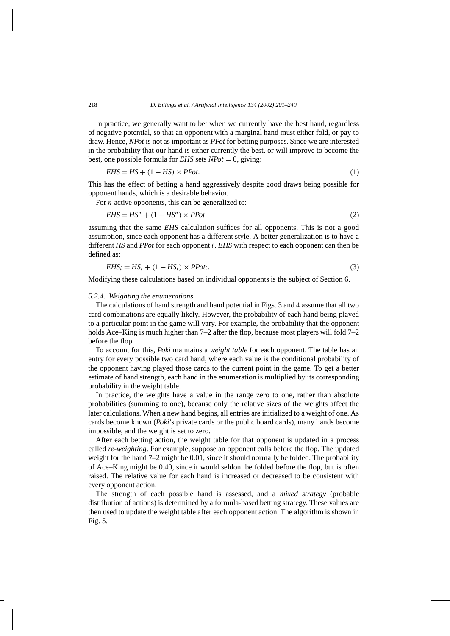In practice, we generally want to bet when we currently have the best hand, regardless of negative potential, so that an opponent with a marginal hand must either fold, or pay to draw. Hence, *NPot* is not as important as *PPot* for betting purposes. Since we are interested in the probability that our hand is either currently the best, or will improve to become the best, one possible formula for *EHS* sets *NPot* = 0, giving:

$$
EHS = HS + (1 - HS) \times PPot. \tag{1}
$$

This has the effect of betting a hand aggressively despite good draws being possible for opponent hands, which is a desirable behavior.

For *n* active opponents, this can be generalized to:

$$
EHS = HSn + (1 - HSn) \times PPot,
$$
\n(2)

assuming that the same *EHS* calculation suffices for all opponents. This is not a good assumption, since each opponent has a different style. A better generalization is to have a different *HS* and *PPot* for each opponent *i*. *EHS* with respect to each opponent can then be defined as:

$$
EHS_i = HS_i + (1 - HS_i) \times PPot_i.
$$
\n<sup>(3)</sup>

Modifying these calculations based on individual opponents is the subject of Section 6.

#### *5.2.4. Weighting the enumerations*

The calculations of hand strength and hand potential in Figs. 3 and 4 assume that all two card combinations are equally likely. However, the probability of each hand being played to a particular point in the game will vary. For example, the probability that the opponent holds Ace–King is much higher than 7–2 after the flop, because most players will fold 7–2 before the flop.

To account for this, *Poki* maintains a *weight table* for each opponent. The table has an entry for every possible two card hand, where each value is the conditional probability of the opponent having played those cards to the current point in the game. To get a better estimate of hand strength, each hand in the enumeration is multiplied by its corresponding probability in the weight table.

In practice, the weights have a value in the range zero to one, rather than absolute probabilities (summing to one), because only the relative sizes of the weights affect the later calculations. When a new hand begins, all entries are initialized to a weight of one. As cards become known (*Poki*'s private cards or the public board cards), many hands become impossible, and the weight is set to zero.

After each betting action, the weight table for that opponent is updated in a process called *re-weighting*. For example, suppose an opponent calls before the flop. The updated weight for the hand 7–2 might be 0.01, since it should normally be folded. The probability of Ace–King might be 0.40, since it would seldom be folded before the flop, but is often raised. The relative value for each hand is increased or decreased to be consistent with every opponent action.

The strength of each possible hand is assessed, and a *mixed strategy* (probable distribution of actions) is determined by a formula-based betting strategy. These values are then used to update the weight table after each opponent action. The algorithm is shown in Fig. 5.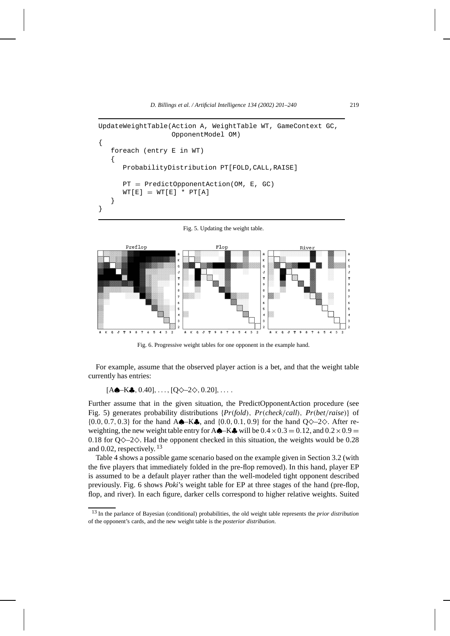UpdateWeightTable(Action A, WeightTable WT, GameContext GC, OpponentModel OM) { foreach (entry E in WT) { ProbabilityDistribution PT[FOLD,CALL,RAISE] PT = PredictOpponentAction(OM, E, GC)  $WT[E] = WT[E] * PT[A]$ } }



Fig. 5. Updating the weight table.

Fig. 6. Progressive weight tables for one opponent in the example hand.

For example, assume that the observed player action is a bet, and that the weight table currently has entries:

 $[A\spadesuit - K\clubsuit, 0.40], \ldots, [Q\diamondsuit - 2\diamondsuit, 0.20], \ldots$ 

Further assume that in the given situation, the PredictOpponentAction procedure (see Fig. 5) generates probability distributions {*Pr(fold), Pr(check/call), Pr(bet/raise)*} of {0*.*0*,* 0*.*7*,* 0*.*3} for the hand A $\triangle$ –K $\clubsuit$ , and {0*.*0*,* 0*.*1*,* 0*.*9} for the hand Q $\diamond$ –2 $\diamond$ . After reweighting, the new weight table entry for  $\mathbf{A}\oplus\mathbf{K}\oplus\mathbf{W}$  will be  $0.4\times0.3=0.12$ , and  $0.2\times0.9=$ 0.18 for  $Q \rightarrow 2\Diamond$ . Had the opponent checked in this situation, the weights would be 0.28 and 0.02, respectively.  $^{13}$ 

Table 4 shows a possible game scenario based on the example given in Section 3.2 (with the five players that immediately folded in the pre-flop removed). In this hand, player EP is assumed to be a default player rather than the well-modeled tight opponent described previously. Fig. 6 shows *Poki*'s weight table for EP at three stages of the hand (pre-flop, flop, and river). In each figure, darker cells correspond to higher relative weights. Suited

<sup>13</sup> In the parlance of Bayesian (conditional) probabilities, the old weight table represents the *prior distribution* of the opponent's cards, and the new weight table is the *posterior distribution*.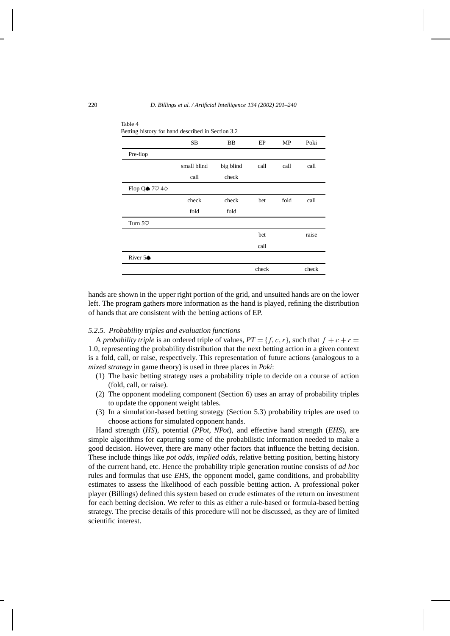|                                              | <b>SB</b>   | BB        | EP    | MP   | Poki  |
|----------------------------------------------|-------------|-----------|-------|------|-------|
| Pre-flop                                     |             |           |       |      |       |
|                                              | small blind | big blind | call  | call | call  |
|                                              | call        | check     |       |      |       |
| Flop Q $\bullet$ 7 $\heartsuit$ 4 $\diamond$ |             |           |       |      |       |
|                                              | check       | check     | bet   | fold | call  |
|                                              | fold        | fold      |       |      |       |
| Turn $5\heartsuit$                           |             |           |       |      |       |
|                                              |             |           | bet   |      | raise |
|                                              |             |           | call  |      |       |
| River $5$                                    |             |           |       |      |       |
|                                              |             |           | check |      | check |

Table 4 Betting history for hand described in Section 3.2

hands are shown in the upper right portion of the grid, and unsuited hands are on the lower left. The program gathers more information as the hand is played, refining the distribution of hands that are consistent with the betting actions of EP.

## *5.2.5. Probability triples and evaluation functions*

A *probability triple* is an ordered triple of values,  $PT = \{f, c, r\}$ , such that  $f + c + r =$ 1*.*0, representing the probability distribution that the next betting action in a given context is a fold, call, or raise, respectively. This representation of future actions (analogous to a *mixed strategy* in game theory) is used in three places in *Poki*:

- (1) The basic betting strategy uses a probability triple to decide on a course of action (fold, call, or raise).
- (2) The opponent modeling component (Section 6) uses an array of probability triples to update the opponent weight tables.
- (3) In a simulation-based betting strategy (Section 5.3) probability triples are used to choose actions for simulated opponent hands.

Hand strength (*HS*), potential (*PPot*, *NPot*), and effective hand strength (*EHS*), are simple algorithms for capturing some of the probabilistic information needed to make a good decision. However, there are many other factors that influence the betting decision. These include things like *pot odds*, *implied odds*, relative betting position, betting history of the current hand, etc. Hence the probability triple generation routine consists of *ad hoc* rules and formulas that use *EHS*, the opponent model, game conditions, and probability estimates to assess the likelihood of each possible betting action. A professional poker player (Billings) defined this system based on crude estimates of the return on investment for each betting decision. We refer to this as either a rule-based or formula-based betting strategy. The precise details of this procedure will not be discussed, as they are of limited scientific interest.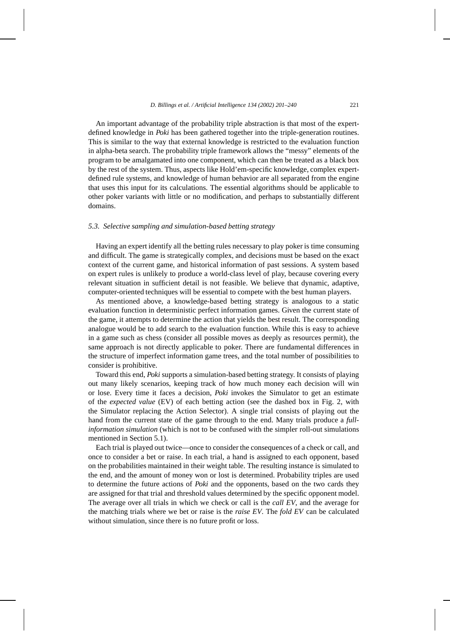An important advantage of the probability triple abstraction is that most of the expertdefined knowledge in *Poki* has been gathered together into the triple-generation routines. This is similar to the way that external knowledge is restricted to the evaluation function in alpha-beta search. The probability triple framework allows the "messy" elements of the program to be amalgamated into one component, which can then be treated as a black box by the rest of the system. Thus, aspects like Hold'em-specific knowledge, complex expertdefined rule systems, and knowledge of human behavior are all separated from the engine that uses this input for its calculations. The essential algorithms should be applicable to other poker variants with little or no modification, and perhaps to substantially different domains.

#### *5.3. Selective sampling and simulation-based betting strategy*

Having an expert identify all the betting rules necessary to play poker is time consuming and difficult. The game is strategically complex, and decisions must be based on the exact context of the current game, and historical information of past sessions. A system based on expert rules is unlikely to produce a world-class level of play, because covering every relevant situation in sufficient detail is not feasible. We believe that dynamic, adaptive, computer-oriented techniques will be essential to compete with the best human players.

As mentioned above, a knowledge-based betting strategy is analogous to a static evaluation function in deterministic perfect information games. Given the current state of the game, it attempts to determine the action that yields the best result. The corresponding analogue would be to add search to the evaluation function. While this is easy to achieve in a game such as chess (consider all possible moves as deeply as resources permit), the same approach is not directly applicable to poker. There are fundamental differences in the structure of imperfect information game trees, and the total number of possibilities to consider is prohibitive.

Toward this end, *Poki* supports a simulation-based betting strategy. It consists of playing out many likely scenarios, keeping track of how much money each decision will win or lose. Every time it faces a decision, *Poki* invokes the Simulator to get an estimate of the *expected value* (EV) of each betting action (see the dashed box in Fig. 2, with the Simulator replacing the Action Selector). A single trial consists of playing out the hand from the current state of the game through to the end. Many trials produce a *fullinformation simulation* (which is not to be confused with the simpler roll-out simulations mentioned in Section 5.1).

Each trial is played out twice—once to consider the consequences of a check or call, and once to consider a bet or raise. In each trial, a hand is assigned to each opponent, based on the probabilities maintained in their weight table. The resulting instance is simulated to the end, and the amount of money won or lost is determined. Probability triples are used to determine the future actions of *Poki* and the opponents, based on the two cards they are assigned for that trial and threshold values determined by the specific opponent model. The average over all trials in which we check or call is the *call EV*, and the average for the matching trials where we bet or raise is the *raise EV*. The *fold EV* can be calculated without simulation, since there is no future profit or loss.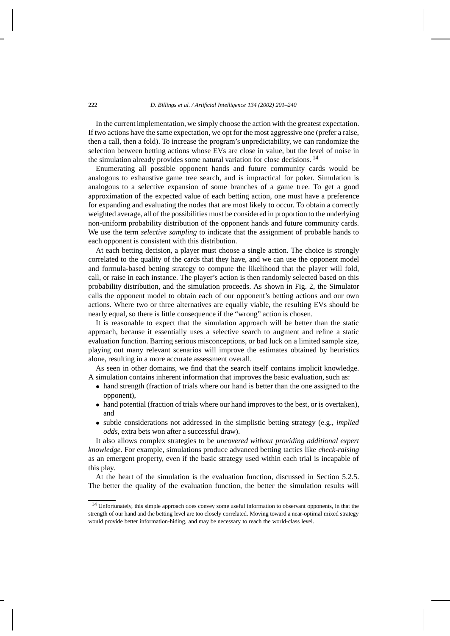In the current implementation, we simply choose the action with the greatest expectation. If two actions have the same expectation, we opt for the most aggressive one (prefer a raise, then a call, then a fold). To increase the program's unpredictability, we can randomize the selection between betting actions whose EVs are close in value, but the level of noise in the simulation already provides some natural variation for close decisions.<sup>14</sup>

Enumerating all possible opponent hands and future community cards would be analogous to exhaustive game tree search, and is impractical for poker. Simulation is analogous to a selective expansion of some branches of a game tree. To get a good approximation of the expected value of each betting action, one must have a preference for expanding and evaluating the nodes that are most likely to occur. To obtain a correctly weighted average, all of the possibilities must be considered in proportion to the underlying non-uniform probability distribution of the opponent hands and future community cards. We use the term *selective sampling* to indicate that the assignment of probable hands to each opponent is consistent with this distribution.

At each betting decision, a player must choose a single action. The choice is strongly correlated to the quality of the cards that they have, and we can use the opponent model and formula-based betting strategy to compute the likelihood that the player will fold, call, or raise in each instance. The player's action is then randomly selected based on this probability distribution, and the simulation proceeds. As shown in Fig. 2, the Simulator calls the opponent model to obtain each of our opponent's betting actions and our own actions. Where two or three alternatives are equally viable, the resulting EVs should be nearly equal, so there is little consequence if the "wrong" action is chosen.

It is reasonable to expect that the simulation approach will be better than the static approach, because it essentially uses a selective search to augment and refine a static evaluation function. Barring serious misconceptions, or bad luck on a limited sample size, playing out many relevant scenarios will improve the estimates obtained by heuristics alone, resulting in a more accurate assessment overall.

As seen in other domains, we find that the search itself contains implicit knowledge. A simulation contains inherent information that improves the basic evaluation, such as:

- hand strength (fraction of trials where our hand is better than the one assigned to the opponent),
- hand potential (fraction of trials where our hand improves to the best, or is overtaken), and
- subtle considerations not addressed in the simplistic betting strategy (e.g., *implied odds*, extra bets won after a successful draw).

It also allows complex strategies to be *uncovered without providing additional expert knowledge*. For example, simulations produce advanced betting tactics like *check-raising* as an emergent property, even if the basic strategy used within each trial is incapable of this play.

At the heart of the simulation is the evaluation function, discussed in Section 5.2.5. The better the quality of the evaluation function, the better the simulation results will

<sup>&</sup>lt;sup>14</sup> Unfortunately, this simple approach does convey some useful information to observant opponents, in that the strength of our hand and the betting level are too closely correlated. Moving toward a near-optimal mixed strategy would provide better information-hiding, and may be necessary to reach the world-class level.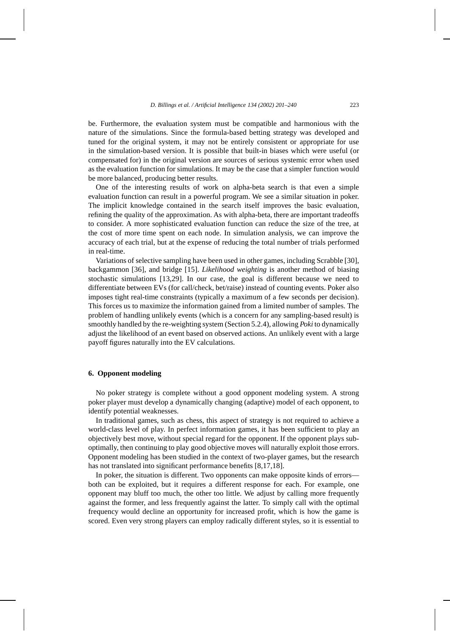be. Furthermore, the evaluation system must be compatible and harmonious with the nature of the simulations. Since the formula-based betting strategy was developed and tuned for the original system, it may not be entirely consistent or appropriate for use in the simulation-based version. It is possible that built-in biases which were useful (or compensated for) in the original version are sources of serious systemic error when used as the evaluation function for simulations. It may be the case that a simpler function would be more balanced, producing better results.

One of the interesting results of work on alpha-beta search is that even a simple evaluation function can result in a powerful program. We see a similar situation in poker. The implicit knowledge contained in the search itself improves the basic evaluation, refining the quality of the approximation. As with alpha-beta, there are important tradeoffs to consider. A more sophisticated evaluation function can reduce the size of the tree, at the cost of more time spent on each node. In simulation analysis, we can improve the accuracy of each trial, but at the expense of reducing the total number of trials performed in real-time.

Variations of selective sampling have been used in other games, including Scrabble [30], backgammon [36], and bridge [15]. *Likelihood weighting* is another method of biasing stochastic simulations [13,29]. In our case, the goal is different because we need to differentiate between EVs (for call/check, bet/raise) instead of counting events. Poker also imposes tight real-time constraints (typically a maximum of a few seconds per decision). This forces us to maximize the information gained from a limited number of samples. The problem of handling unlikely events (which is a concern for any sampling-based result) is smoothly handled by the re-weighting system (Section 5.2.4), allowing *Poki* to dynamically adjust the likelihood of an event based on observed actions. An unlikely event with a large payoff figures naturally into the EV calculations.

#### **6. Opponent modeling**

No poker strategy is complete without a good opponent modeling system. A strong poker player must develop a dynamically changing (adaptive) model of each opponent, to identify potential weaknesses.

In traditional games, such as chess, this aspect of strategy is not required to achieve a world-class level of play. In perfect information games, it has been sufficient to play an objectively best move, without special regard for the opponent. If the opponent plays suboptimally, then continuing to play good objective moves will naturally exploit those errors. Opponent modeling has been studied in the context of two-player games, but the research has not translated into significant performance benefits [8,17,18].

In poker, the situation is different. Two opponents can make opposite kinds of errors both can be exploited, but it requires a different response for each. For example, one opponent may bluff too much, the other too little. We adjust by calling more frequently against the former, and less frequently against the latter. To simply call with the optimal frequency would decline an opportunity for increased profit, which is how the game is scored. Even very strong players can employ radically different styles, so it is essential to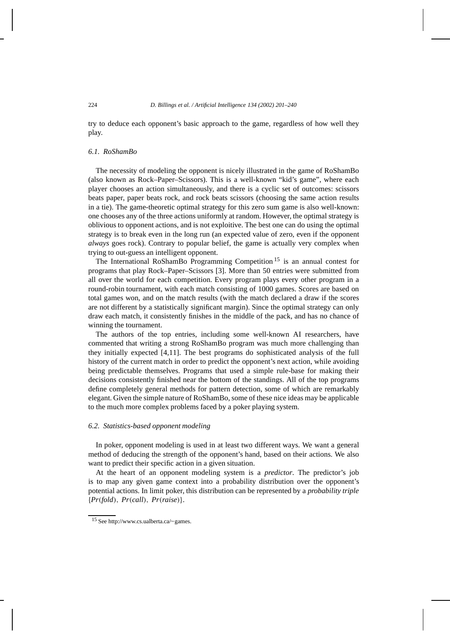try to deduce each opponent's basic approach to the game, regardless of how well they play.

#### *6.1. RoShamBo*

The necessity of modeling the opponent is nicely illustrated in the game of RoShamBo (also known as Rock–Paper–Scissors). This is a well-known "kid's game", where each player chooses an action simultaneously, and there is a cyclic set of outcomes: scissors beats paper, paper beats rock, and rock beats scissors (choosing the same action results in a tie). The game-theoretic optimal strategy for this zero sum game is also well-known: one chooses any of the three actions uniformly at random. However, the optimal strategy is oblivious to opponent actions, and is not exploitive. The best one can do using the optimal strategy is to break even in the long run (an expected value of zero, even if the opponent *always* goes rock). Contrary to popular belief, the game is actually very complex when trying to out-guess an intelligent opponent.

The International RoShamBo Programming Competition<sup>15</sup> is an annual contest for programs that play Rock–Paper–Scissors [3]. More than 50 entries were submitted from all over the world for each competition. Every program plays every other program in a round-robin tournament, with each match consisting of 1000 games. Scores are based on total games won, and on the match results (with the match declared a draw if the scores are not different by a statistically significant margin). Since the optimal strategy can only draw each match, it consistently finishes in the middle of the pack, and has no chance of winning the tournament.

The authors of the top entries, including some well-known AI researchers, have commented that writing a strong RoShamBo program was much more challenging than they initially expected [4,11]. The best programs do sophisticated analysis of the full history of the current match in order to predict the opponent's next action, while avoiding being predictable themselves. Programs that used a simple rule-base for making their decisions consistently finished near the bottom of the standings. All of the top programs define completely general methods for pattern detection, some of which are remarkably elegant. Given the simple nature of RoShamBo, some of these nice ideas may be applicable to the much more complex problems faced by a poker playing system.

#### *6.2. Statistics-based opponent modeling*

In poker, opponent modeling is used in at least two different ways. We want a general method of deducing the strength of the opponent's hand, based on their actions. We also want to predict their specific action in a given situation.

At the heart of an opponent modeling system is a *predictor*. The predictor's job is to map any given game context into a probability distribution over the opponent's potential actions. In limit poker, this distribution can be represented by a *probability triple* {*Pr(fold), Pr(call), Pr(raise)*}.

<sup>15</sup> See http://www.cs.ualberta.ca/~games.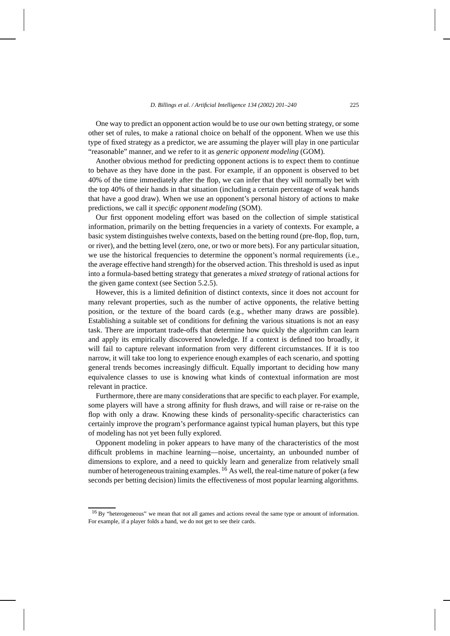One way to predict an opponent action would be to use our own betting strategy, or some other set of rules, to make a rational choice on behalf of the opponent. When we use this type of fixed strategy as a predictor, we are assuming the player will play in one particular "reasonable" manner, and we refer to it as *generic opponent modeling* (GOM).

Another obvious method for predicting opponent actions is to expect them to continue to behave as they have done in the past. For example, if an opponent is observed to bet 40% of the time immediately after the flop, we can infer that they will normally bet with the top 40% of their hands in that situation (including a certain percentage of weak hands that have a good draw). When we use an opponent's personal history of actions to make predictions, we call it *specific opponent modeling* (SOM).

Our first opponent modeling effort was based on the collection of simple statistical information, primarily on the betting frequencies in a variety of contexts. For example, a basic system distinguishes twelve contexts, based on the betting round (pre-flop, flop, turn, or river), and the betting level (zero, one, or two or more bets). For any particular situation, we use the historical frequencies to determine the opponent's normal requirements (i.e., the average effective hand strength) for the observed action. This threshold is used as input into a formula-based betting strategy that generates a *mixed strategy* of rational actions for the given game context (see Section 5.2.5).

However, this is a limited definition of distinct contexts, since it does not account for many relevant properties, such as the number of active opponents, the relative betting position, or the texture of the board cards (e.g., whether many draws are possible). Establishing a suitable set of conditions for defining the various situations is not an easy task. There are important trade-offs that determine how quickly the algorithm can learn and apply its empirically discovered knowledge. If a context is defined too broadly, it will fail to capture relevant information from very different circumstances. If it is too narrow, it will take too long to experience enough examples of each scenario, and spotting general trends becomes increasingly difficult. Equally important to deciding how many equivalence classes to use is knowing what kinds of contextual information are most relevant in practice.

Furthermore, there are many considerations that are specific to each player. For example, some players will have a strong affinity for flush draws, and will raise or re-raise on the flop with only a draw. Knowing these kinds of personality-specific characteristics can certainly improve the program's performance against typical human players, but this type of modeling has not yet been fully explored.

Opponent modeling in poker appears to have many of the characteristics of the most difficult problems in machine learning—noise, uncertainty, an unbounded number of dimensions to explore, and a need to quickly learn and generalize from relatively small number of heterogeneous training examples.  $^{16}$  As well, the real-time nature of poker (a few seconds per betting decision) limits the effectiveness of most popular learning algorithms.

<sup>16</sup> By "heterogeneous" we mean that not all games and actions reveal the same type or amount of information. For example, if a player folds a hand, we do not get to see their cards.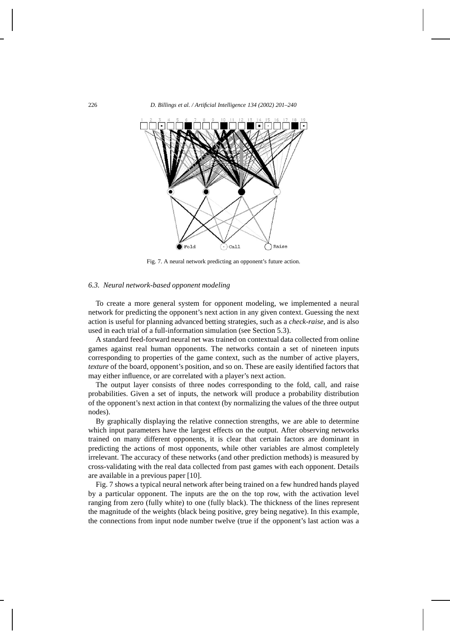

Fig. 7. A neural network predicting an opponent's future action.

## *6.3. Neural network-based opponent modeling*

To create a more general system for opponent modeling, we implemented a neural network for predicting the opponent's next action in any given context. Guessing the next action is useful for planning advanced betting strategies, such as a *check-raise*, and is also used in each trial of a full-information simulation (see Section 5.3).

A standard feed-forward neural net was trained on contextual data collected from online games against real human opponents. The networks contain a set of nineteen inputs corresponding to properties of the game context, such as the number of active players, *texture* of the board, opponent's position, and so on. These are easily identified factors that may either influence, or are correlated with a player's next action.

The output layer consists of three nodes corresponding to the fold, call, and raise probabilities. Given a set of inputs, the network will produce a probability distribution of the opponent's next action in that context (by normalizing the values of the three output nodes).

By graphically displaying the relative connection strengths, we are able to determine which input parameters have the largest effects on the output. After observing networks trained on many different opponents, it is clear that certain factors are dominant in predicting the actions of most opponents, while other variables are almost completely irrelevant. The accuracy of these networks (and other prediction methods) is measured by cross-validating with the real data collected from past games with each opponent. Details are available in a previous paper [10].

Fig. 7 shows a typical neural network after being trained on a few hundred hands played by a particular opponent. The inputs are the on the top row, with the activation level ranging from zero (fully white) to one (fully black). The thickness of the lines represent the magnitude of the weights (black being positive, grey being negative). In this example, the connections from input node number twelve (true if the opponent's last action was a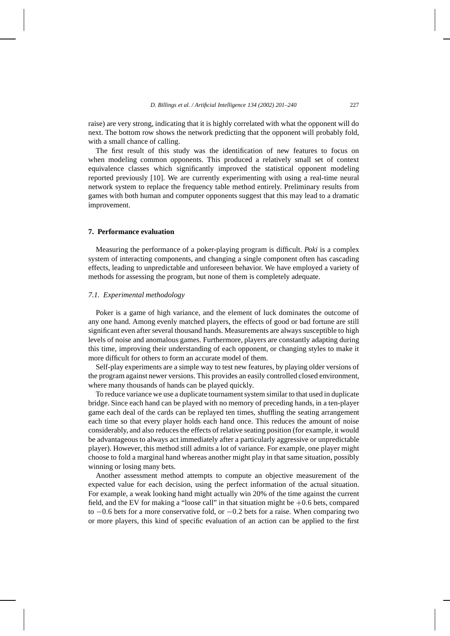raise) are very strong, indicating that it is highly correlated with what the opponent will do next. The bottom row shows the network predicting that the opponent will probably fold, with a small chance of calling.

The first result of this study was the identification of new features to focus on when modeling common opponents. This produced a relatively small set of context equivalence classes which significantly improved the statistical opponent modeling reported previously [10]. We are currently experimenting with using a real-time neural network system to replace the frequency table method entirely. Preliminary results from games with both human and computer opponents suggest that this may lead to a dramatic improvement.

#### **7. Performance evaluation**

Measuring the performance of a poker-playing program is difficult. *Poki* is a complex system of interacting components, and changing a single component often has cascading effects, leading to unpredictable and unforeseen behavior. We have employed a variety of methods for assessing the program, but none of them is completely adequate.

#### *7.1. Experimental methodology*

Poker is a game of high variance, and the element of luck dominates the outcome of any one hand. Among evenly matched players, the effects of good or bad fortune are still significant even after several thousand hands. Measurements are always susceptible to high levels of noise and anomalous games. Furthermore, players are constantly adapting during this time, improving their understanding of each opponent, or changing styles to make it more difficult for others to form an accurate model of them.

Self-play experiments are a simple way to test new features, by playing older versions of the program against newer versions. This provides an easily controlled closed environment, where many thousands of hands can be played quickly.

To reduce variance we use a duplicate tournament system similar to that used in duplicate bridge. Since each hand can be played with no memory of preceding hands, in a ten-player game each deal of the cards can be replayed ten times, shuffling the seating arrangement each time so that every player holds each hand once. This reduces the amount of noise considerably, and also reduces the effects of relative seating position (for example, it would be advantageous to always act immediately after a particularly aggressive or unpredictable player). However, this method still admits a lot of variance. For example, one player might choose to fold a marginal hand whereas another might play in that same situation, possibly winning or losing many bets.

Another assessment method attempts to compute an objective measurement of the expected value for each decision, using the perfect information of the actual situation. For example, a weak looking hand might actually win 20% of the time against the current field, and the EV for making a "loose call" in that situation might be +0*.*6 bets, compared to −0*.*6 bets for a more conservative fold, or −0*.*2 bets for a raise. When comparing two or more players, this kind of specific evaluation of an action can be applied to the first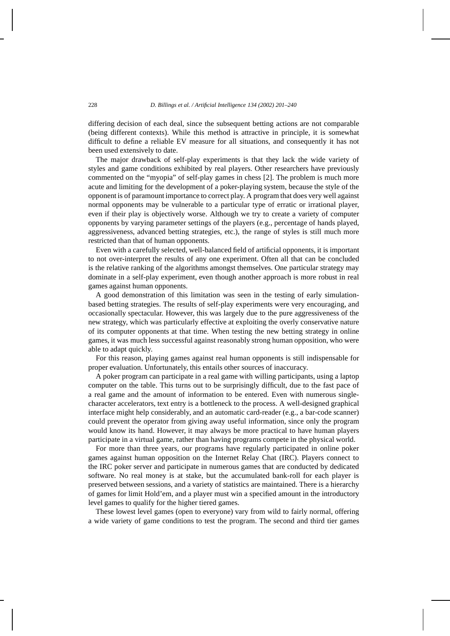differing decision of each deal, since the subsequent betting actions are not comparable (being different contexts). While this method is attractive in principle, it is somewhat difficult to define a reliable EV measure for all situations, and consequently it has not been used extensively to date.

The major drawback of self-play experiments is that they lack the wide variety of styles and game conditions exhibited by real players. Other researchers have previously commented on the "myopia" of self-play games in chess [2]. The problem is much more acute and limiting for the development of a poker-playing system, because the style of the opponent is of paramount importance to correct play. A program that does very well against normal opponents may be vulnerable to a particular type of erratic or irrational player, even if their play is objectively worse. Although we try to create a variety of computer opponents by varying parameter settings of the players (e.g., percentage of hands played, aggressiveness, advanced betting strategies, etc.), the range of styles is still much more restricted than that of human opponents.

Even with a carefully selected, well-balanced field of artificial opponents, it is important to not over-interpret the results of any one experiment. Often all that can be concluded is the relative ranking of the algorithms amongst themselves. One particular strategy may dominate in a self-play experiment, even though another approach is more robust in real games against human opponents.

A good demonstration of this limitation was seen in the testing of early simulationbased betting strategies. The results of self-play experiments were very encouraging, and occasionally spectacular. However, this was largely due to the pure aggressiveness of the new strategy, which was particularly effective at exploiting the overly conservative nature of its computer opponents at that time. When testing the new betting strategy in online games, it was much less successful against reasonably strong human opposition, who were able to adapt quickly.

For this reason, playing games against real human opponents is still indispensable for proper evaluation. Unfortunately, this entails other sources of inaccuracy.

A poker program can participate in a real game with willing participants, using a laptop computer on the table. This turns out to be surprisingly difficult, due to the fast pace of a real game and the amount of information to be entered. Even with numerous singlecharacter accelerators, text entry is a bottleneck to the process. A well-designed graphical interface might help considerably, and an automatic card-reader (e.g., a bar-code scanner) could prevent the operator from giving away useful information, since only the program would know its hand. However, it may always be more practical to have human players participate in a virtual game, rather than having programs compete in the physical world.

For more than three years, our programs have regularly participated in online poker games against human opposition on the Internet Relay Chat (IRC). Players connect to the IRC poker server and participate in numerous games that are conducted by dedicated software. No real money is at stake, but the accumulated bank-roll for each player is preserved between sessions, and a variety of statistics are maintained. There is a hierarchy of games for limit Hold'em, and a player must win a specified amount in the introductory level games to qualify for the higher tiered games.

These lowest level games (open to everyone) vary from wild to fairly normal, offering a wide variety of game conditions to test the program. The second and third tier games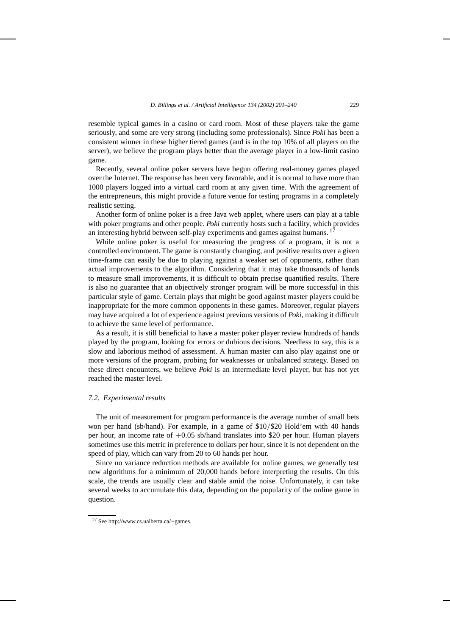resemble typical games in a casino or card room. Most of these players take the game seriously, and some are very strong (including some professionals). Since *Poki* has been a consistent winner in these higher tiered games (and is in the top 10% of all players on the server), we believe the program plays better than the average player in a low-limit casino game.

Recently, several online poker servers have begun offering real-money games played over the Internet. The response has been very favorable, and it is normal to have more than 1000 players logged into a virtual card room at any given time. With the agreement of the entrepreneurs, this might provide a future venue for testing programs in a completely realistic setting.

Another form of online poker is a free Java web applet, where users can play at a table with poker programs and other people. *Poki* currently hosts such a facility, which provides an interesting hybrid between self-play experiments and games against humans. <sup>17</sup>

While online poker is useful for measuring the progress of a program, it is not a controlled environment. The game is constantly changing, and positive results over a given time-frame can easily be due to playing against a weaker set of opponents, rather than actual improvements to the algorithm. Considering that it may take thousands of hands to measure small improvements, it is difficult to obtain precise quantified results. There is also no guarantee that an objectively stronger program will be more successful in this particular style of game. Certain plays that might be good against master players could be inappropriate for the more common opponents in these games. Moreover, regular players may have acquired a lot of experience against previous versions of *Poki*, making it difficult to achieve the same level of performance.

As a result, it is still beneficial to have a master poker player review hundreds of hands played by the program, looking for errors or dubious decisions. Needless to say, this is a slow and laborious method of assessment. A human master can also play against one or more versions of the program, probing for weaknesses or unbalanced strategy. Based on these direct encounters, we believe *Poki* is an intermediate level player, but has not yet reached the master level.

#### *7.2. Experimental results*

The unit of measurement for program performance is the average number of small bets won per hand (sb/hand). For example, in a game of \$10*/*\$20 Hold'em with 40 hands per hour, an income rate of +0*.*05 sb/hand translates into \$20 per hour. Human players sometimes use this metric in preference to dollars per hour, since it is not dependent on the speed of play, which can vary from 20 to 60 hands per hour.

Since no variance reduction methods are available for online games, we generally test new algorithms for a minimum of 20,000 hands before interpreting the results. On this scale, the trends are usually clear and stable amid the noise. Unfortunately, it can take several weeks to accumulate this data, depending on the popularity of the online game in question.

<sup>17</sup> See http://www.cs.ualberta.ca/~games.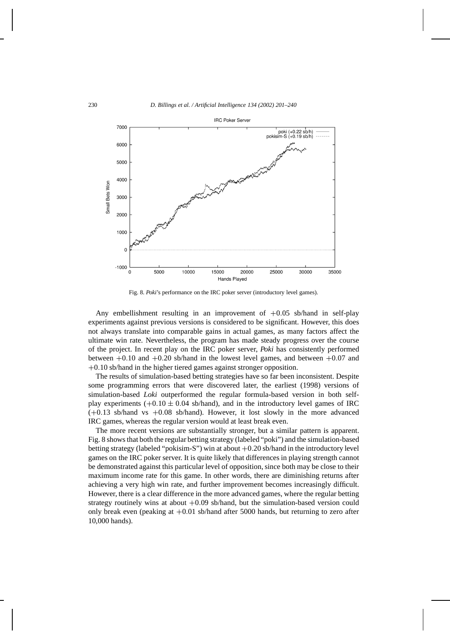

Fig. 8. *Poki*'s performance on the IRC poker server (introductory level games).

Any embellishment resulting in an improvement of +0*.*05 sb/hand in self-play experiments against previous versions is considered to be significant. However, this does not always translate into comparable gains in actual games, as many factors affect the ultimate win rate. Nevertheless, the program has made steady progress over the course of the project. In recent play on the IRC poker server, *Poki* has consistently performed between +0*.*10 and +0*.*20 sb/hand in the lowest level games, and between +0*.*07 and +0*.*10 sb/hand in the higher tiered games against stronger opposition.

The results of simulation-based betting strategies have so far been inconsistent. Despite some programming errors that were discovered later, the earliest (1998) versions of simulation-based *Loki* outperformed the regular formula-based version in both selfplay experiments  $(+0.10 \pm 0.04 \text{ sb/hand})$ , and in the introductory level games of IRC (+0*.*13 sb/hand vs +0*.*08 sb/hand). However, it lost slowly in the more advanced IRC games, whereas the regular version would at least break even.

The more recent versions are substantially stronger, but a similar pattern is apparent. Fig. 8 shows that both the regular betting strategy (labeled "poki") and the simulation-based betting strategy (labeled "pokisim-S") win at about +0*.*20 sb/hand in the introductory level games on the IRC poker server. It is quite likely that differences in playing strength cannot be demonstrated against this particular level of opposition, since both may be close to their maximum income rate for this game. In other words, there are diminishing returns after achieving a very high win rate, and further improvement becomes increasingly difficult. However, there is a clear difference in the more advanced games, where the regular betting strategy routinely wins at about +0*.*09 sb/hand, but the simulation-based version could only break even (peaking at +0*.*01 sb/hand after 5000 hands, but returning to zero after 10,000 hands).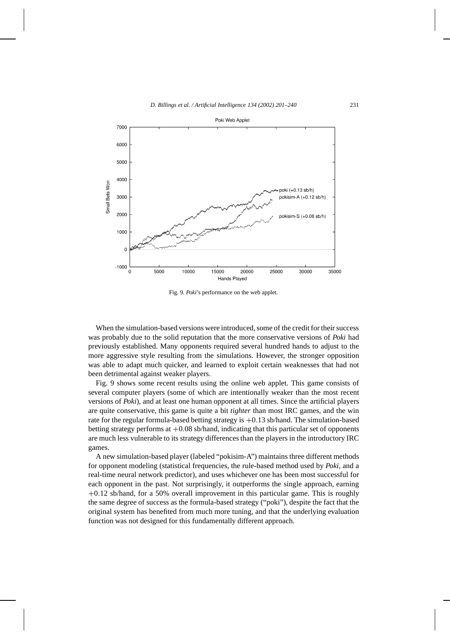

Fig. 9. *Poki*'s performance on the web applet.

When the simulation-based versions were introduced, some of the credit for their success was probably due to the solid reputation that the more conservative versions of *Poki* had previously established. Many opponents required several hundred hands to adjust to the more aggressive style resulting from the simulations. However, the stronger opposition was able to adapt much quicker, and learned to exploit certain weaknesses that had not been detrimental against weaker players.

Fig. 9 shows some recent results using the online web applet. This game consists of several computer players (some of which are intentionally weaker than the most recent versions of *Poki*), and at least one human opponent at all times. Since the artificial players are quite conservative, this game is quite a bit *tighter* than most IRC games, and the win rate for the regular formula-based betting strategy is +0*.*13 sb/hand. The simulation-based betting strategy performs at +0*.*08 sb/hand, indicating that this particular set of opponents are much less vulnerable to its strategy differences than the players in the introductory IRC games.

A new simulation-based player (labeled "pokisim-A") maintains three different methods for opponent modeling (statistical frequencies, the rule-based method used by *Poki*, and a real-time neural network predictor), and uses whichever one has been most successful for each opponent in the past. Not surprisingly, it outperforms the single approach, earning +0*.*12 sb/hand, for a 50% overall improvement in this particular game. This is roughly the same degree of success as the formula-based strategy ("poki"), despite the fact that the original system has benefited from much more tuning, and that the underlying evaluation function was not designed for this fundamentally different approach.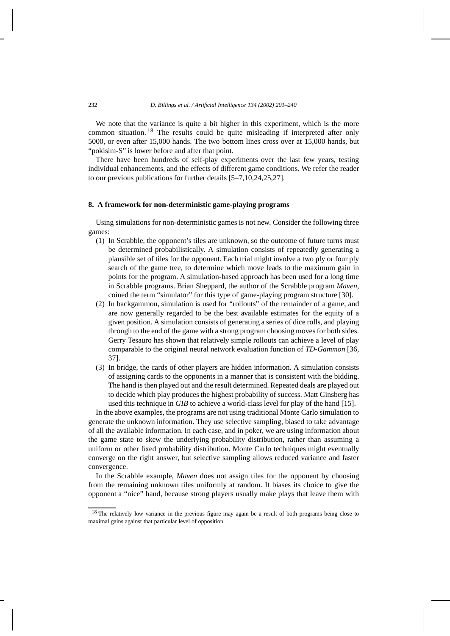We note that the variance is quite a bit higher in this experiment, which is the more common situation. <sup>18</sup> The results could be quite misleading if interpreted after only 5000, or even after 15,000 hands. The two bottom lines cross over at 15,000 hands, but "pokisim-S" is lower before and after that point.

There have been hundreds of self-play experiments over the last few years, testing individual enhancements, and the effects of different game conditions. We refer the reader to our previous publications for further details [5–7,10,24,25,27].

#### **8. A framework for non-deterministic game-playing programs**

Using simulations for non-deterministic games is not new. Consider the following three games:

- (1) In Scrabble, the opponent's tiles are unknown, so the outcome of future turns must be determined probabilistically. A simulation consists of repeatedly generating a plausible set of tiles for the opponent. Each trial might involve a two ply or four ply search of the game tree, to determine which move leads to the maximum gain in points for the program. A simulation-based approach has been used for a long time in Scrabble programs. Brian Sheppard, the author of the Scrabble program *Maven*, coined the term "simulator" for this type of game-playing program structure [30].
- (2) In backgammon, simulation is used for "rollouts" of the remainder of a game, and are now generally regarded to be the best available estimates for the equity of a given position. A simulation consists of generating a series of dice rolls, and playing through to the end of the game with a strong program choosing moves for both sides. Gerry Tesauro has shown that relatively simple rollouts can achieve a level of play comparable to the original neural network evaluation function of *TD-Gammon* [36, 37].
- (3) In bridge, the cards of other players are hidden information. A simulation consists of assigning cards to the opponents in a manner that is consistent with the bidding. The hand is then played out and the result determined. Repeated deals are played out to decide which play produces the highest probability of success. Matt Ginsberg has used this technique in *GIB* to achieve a world-class level for play of the hand [15].

In the above examples, the programs are not using traditional Monte Carlo simulation to generate the unknown information. They use selective sampling, biased to take advantage of all the available information. In each case, and in poker, we are using information about the game state to skew the underlying probability distribution, rather than assuming a uniform or other fixed probability distribution. Monte Carlo techniques might eventually converge on the right answer, but selective sampling allows reduced variance and faster convergence.

In the Scrabble example, *Maven* does not assign tiles for the opponent by choosing from the remaining unknown tiles uniformly at random. It biases its choice to give the opponent a "nice" hand, because strong players usually make plays that leave them with

<sup>&</sup>lt;sup>18</sup> The relatively low variance in the previous figure may again be a result of both programs being close to maximal gains against that particular level of opposition.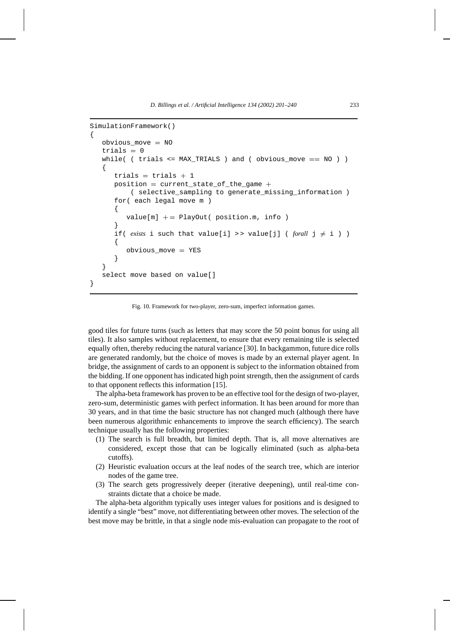```
SimulationFramework()
{
   obvious_move = NO
   trials = 0while( ( trials \leq MAX\_TRIALS ) and ( obvious\_move == NO ) )
   {
      trials = trials +1position = current state of the game +
          ( selective_sampling to generate_missing_information )
      for( each legal move m )
      {
         value[m] += PlayOut( position.m, info)}
      if( exists i such that value[i] >> value[j] ( forall j \neq i ) )
      \mathcal{L}obvious_move = YES
      }
   }
   select move based on value[]
}
```
Fig. 10. Framework for two-player, zero-sum, imperfect information games.

good tiles for future turns (such as letters that may score the 50 point bonus for using all tiles). It also samples without replacement, to ensure that every remaining tile is selected equally often, thereby reducing the natural variance [30]. In backgammon, future dice rolls are generated randomly, but the choice of moves is made by an external player agent. In bridge, the assignment of cards to an opponent is subject to the information obtained from the bidding. If one opponent has indicated high point strength, then the assignment of cards to that opponent reflects this information [15].

The alpha-beta framework has proven to be an effective tool for the design of two-player, zero-sum, deterministic games with perfect information. It has been around for more than 30 years, and in that time the basic structure has not changed much (although there have been numerous algorithmic enhancements to improve the search efficiency). The search technique usually has the following properties:

- (1) The search is full breadth, but limited depth. That is, all move alternatives are considered, except those that can be logically eliminated (such as alpha-beta cutoffs).
- (2) Heuristic evaluation occurs at the leaf nodes of the search tree, which are interior nodes of the game tree.
- (3) The search gets progressively deeper (iterative deepening), until real-time constraints dictate that a choice be made.

The alpha-beta algorithm typically uses integer values for positions and is designed to identify a single "best" move, not differentiating between other moves. The selection of the best move may be brittle, in that a single node mis-evaluation can propagate to the root of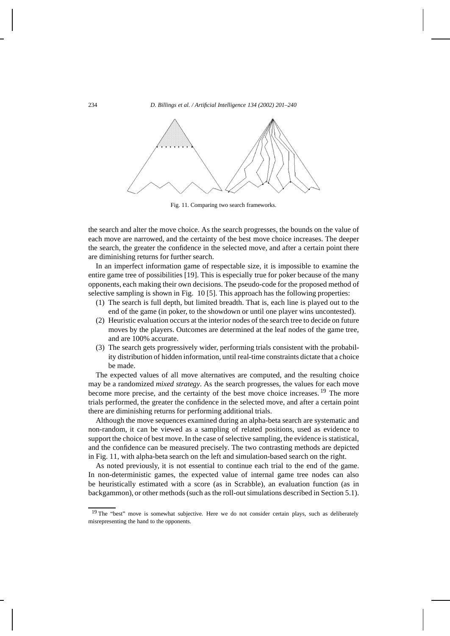

Fig. 11. Comparing two search frameworks.

the search and alter the move choice. As the search progresses, the bounds on the value of each move are narrowed, and the certainty of the best move choice increases. The deeper the search, the greater the confidence in the selected move, and after a certain point there are diminishing returns for further search.

In an imperfect information game of respectable size, it is impossible to examine the entire game tree of possibilities [19]. This is especially true for poker because of the many opponents, each making their own decisions. The pseudo-code for the proposed method of selective sampling is shown in Fig. 10 [5]. This approach has the following properties:

- (1) The search is full depth, but limited breadth. That is, each line is played out to the end of the game (in poker, to the showdown or until one player wins uncontested).
- (2) Heuristic evaluation occurs at the interior nodes of the search tree to decide on future moves by the players. Outcomes are determined at the leaf nodes of the game tree, and are 100% accurate.
- (3) The search gets progressively wider, performing trials consistent with the probability distribution of hidden information, until real-time constraints dictate that a choice be made.

The expected values of all move alternatives are computed, and the resulting choice may be a randomized *mixed strategy*. As the search progresses, the values for each move become more precise, and the certainty of the best move choice increases. <sup>19</sup> The more trials performed, the greater the confidence in the selected move, and after a certain point there are diminishing returns for performing additional trials.

Although the move sequences examined during an alpha-beta search are systematic and non-random, it can be viewed as a sampling of related positions, used as evidence to support the choice of best move. In the case of selective sampling, the evidence is statistical, and the confidence can be measured precisely. The two contrasting methods are depicted in Fig. 11, with alpha-beta search on the left and simulation-based search on the right.

As noted previously, it is not essential to continue each trial to the end of the game. In non-deterministic games, the expected value of internal game tree nodes can also be heuristically estimated with a score (as in Scrabble), an evaluation function (as in backgammon), or other methods (such as the roll-out simulations described in Section 5.1).

<sup>&</sup>lt;sup>19</sup> The "best" move is somewhat subjective. Here we do not consider certain plays, such as deliberately misrepresenting the hand to the opponents.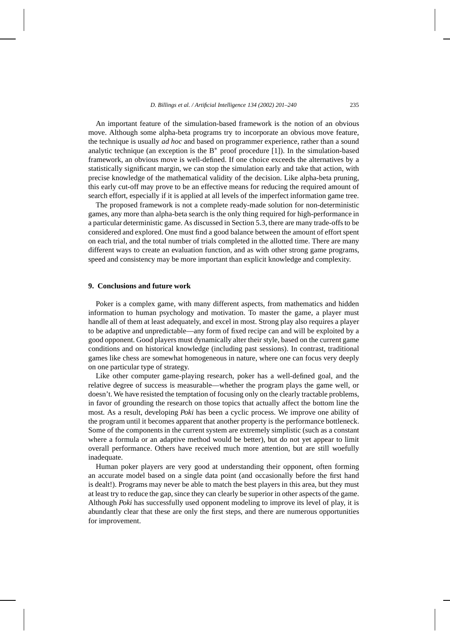An important feature of the simulation-based framework is the notion of an obvious move. Although some alpha-beta programs try to incorporate an obvious move feature, the technique is usually *ad hoc* and based on programmer experience, rather than a sound analytic technique (an exception is the  $B^*$  proof procedure [1]). In the simulation-based framework, an obvious move is well-defined. If one choice exceeds the alternatives by a statistically significant margin, we can stop the simulation early and take that action, with precise knowledge of the mathematical validity of the decision. Like alpha-beta pruning, this early cut-off may prove to be an effective means for reducing the required amount of search effort, especially if it is applied at all levels of the imperfect information game tree.

The proposed framework is not a complete ready-made solution for non-deterministic games, any more than alpha-beta search is the only thing required for high-performance in a particular deterministic game. As discussed in Section 5.3, there are many trade-offs to be considered and explored. One must find a good balance between the amount of effort spent on each trial, and the total number of trials completed in the allotted time. There are many different ways to create an evaluation function, and as with other strong game programs, speed and consistency may be more important than explicit knowledge and complexity.

#### **9. Conclusions and future work**

Poker is a complex game, with many different aspects, from mathematics and hidden information to human psychology and motivation. To master the game, a player must handle all of them at least adequately, and excel in most. Strong play also requires a player to be adaptive and unpredictable—any form of fixed recipe can and will be exploited by a good opponent. Good players must dynamically alter their style, based on the current game conditions and on historical knowledge (including past sessions). In contrast, traditional games like chess are somewhat homogeneous in nature, where one can focus very deeply on one particular type of strategy.

Like other computer game-playing research, poker has a well-defined goal, and the relative degree of success is measurable—whether the program plays the game well, or doesn't. We have resisted the temptation of focusing only on the clearly tractable problems, in favor of grounding the research on those topics that actually affect the bottom line the most. As a result, developing *Poki* has been a cyclic process. We improve one ability of the program until it becomes apparent that another property is the performance bottleneck. Some of the components in the current system are extremely simplistic (such as a constant where a formula or an adaptive method would be better), but do not yet appear to limit overall performance. Others have received much more attention, but are still woefully inadequate.

Human poker players are very good at understanding their opponent, often forming an accurate model based on a single data point (and occasionally before the first hand is dealt!). Programs may never be able to match the best players in this area, but they must at least try to reduce the gap, since they can clearly be superior in other aspects of the game. Although *Poki* has successfully used opponent modeling to improve its level of play, it is abundantly clear that these are only the first steps, and there are numerous opportunities for improvement.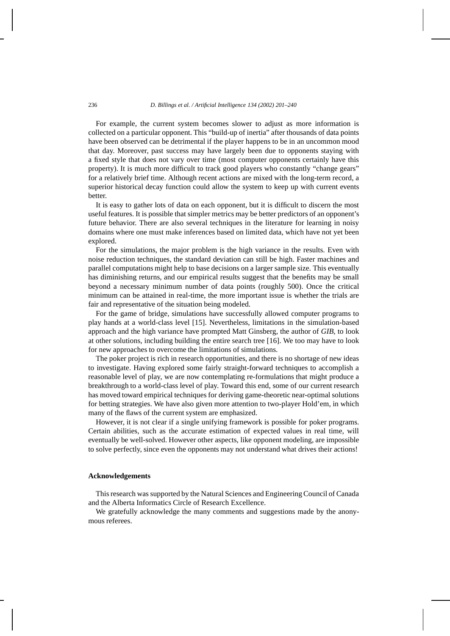For example, the current system becomes slower to adjust as more information is collected on a particular opponent. This "build-up of inertia" after thousands of data points have been observed can be detrimental if the player happens to be in an uncommon mood that day. Moreover, past success may have largely been due to opponents staying with a fixed style that does not vary over time (most computer opponents certainly have this property). It is much more difficult to track good players who constantly "change gears" for a relatively brief time. Although recent actions are mixed with the long-term record, a superior historical decay function could allow the system to keep up with current events better.

It is easy to gather lots of data on each opponent, but it is difficult to discern the most useful features. It is possible that simpler metrics may be better predictors of an opponent's future behavior. There are also several techniques in the literature for learning in noisy domains where one must make inferences based on limited data, which have not yet been explored.

For the simulations, the major problem is the high variance in the results. Even with noise reduction techniques, the standard deviation can still be high. Faster machines and parallel computations might help to base decisions on a larger sample size. This eventually has diminishing returns, and our empirical results suggest that the benefits may be small beyond a necessary minimum number of data points (roughly 500). Once the critical minimum can be attained in real-time, the more important issue is whether the trials are fair and representative of the situation being modeled.

For the game of bridge, simulations have successfully allowed computer programs to play hands at a world-class level [15]. Nevertheless, limitations in the simulation-based approach and the high variance have prompted Matt Ginsberg, the author of *GIB*, to look at other solutions, including building the entire search tree [16]. We too may have to look for new approaches to overcome the limitations of simulations.

The poker project is rich in research opportunities, and there is no shortage of new ideas to investigate. Having explored some fairly straight-forward techniques to accomplish a reasonable level of play, we are now contemplating re-formulations that might produce a breakthrough to a world-class level of play. Toward this end, some of our current research has moved toward empirical techniques for deriving game-theoretic near-optimal solutions for betting strategies. We have also given more attention to two-player Hold'em, in which many of the flaws of the current system are emphasized.

However, it is not clear if a single unifying framework is possible for poker programs. Certain abilities, such as the accurate estimation of expected values in real time, will eventually be well-solved. However other aspects, like opponent modeling, are impossible to solve perfectly, since even the opponents may not understand what drives their actions!

#### **Acknowledgements**

This research was supported by the Natural Sciences and Engineering Council of Canada and the Alberta Informatics Circle of Research Excellence.

We gratefully acknowledge the many comments and suggestions made by the anonymous referees.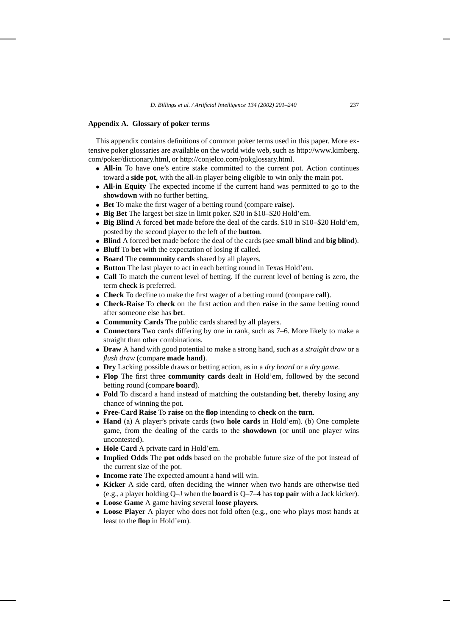#### **Appendix A. Glossary of poker terms**

This appendix contains definitions of common poker terms used in this paper. More extensive poker glossaries are available on the world wide web, such as http://www.kimberg. com/poker/dictionary.html, or http://conjelco.com/pokglossary.html.

- **All-in** To have one's entire stake committed to the current pot. Action continues toward a **side pot**, with the all-in player being eligible to win only the main pot.
- **All-in Equity** The expected income if the current hand was permitted to go to the **showdown** with no further betting.
- **Bet** To make the first wager of a betting round (compare **raise**).
- **Big Bet** The largest bet size in limit poker. \$20 in \$10–\$20 Hold'em.
- **Big Blind** A forced **bet** made before the deal of the cards. \$10 in \$10–\$20 Hold'em, posted by the second player to the left of the **button**.
- **Blind** A forced **bet** made before the deal of the cards (see **small blind** and **big blind**).
- **Bluff** To **bet** with the expectation of losing if called.
- **Board** The **community cards** shared by all players.
- **Button** The last player to act in each betting round in Texas Hold'em.
- **Call** To match the current level of betting. If the current level of betting is zero, the term **check** is preferred.
- **Check** To decline to make the first wager of a betting round (compare **call**).
- **Check-Raise** To **check** on the first action and then **raise** in the same betting round after someone else has **bet**.
- **Community Cards** The public cards shared by all players.
- **Connectors** Two cards differing by one in rank, such as 7–6. More likely to make a straight than other combinations.
- **Draw** A hand with good potential to make a strong hand, such as a *straight draw* or a *flush draw* (compare **made hand**).
- **Dry** Lacking possible draws or betting action, as in a *dry board* or a *dry game*.
- **Flop** The first three **community cards** dealt in Hold'em, followed by the second betting round (compare **board**).
- **Fold** To discard a hand instead of matching the outstanding **bet**, thereby losing any chance of winning the pot.
- **Free-Card Raise** To **raise** on the **flop** intending to **check** on the **turn**.
- **Hand** (a) A player's private cards (two **hole cards** in Hold'em). (b) One complete game, from the dealing of the cards to the **showdown** (or until one player wins uncontested).
- **Hole Card** A private card in Hold'em.
- **Implied Odds** The **pot odds** based on the probable future size of the pot instead of the current size of the pot.
- **Income rate** The expected amount a hand will win.
- **Kicker** A side card, often deciding the winner when two hands are otherwise tied (e.g., a player holding Q–J when the **board** is Q–7–4 has **top pair** with a Jack kicker).
- **Loose Game** A game having several **loose players**.
- **Loose Player** A player who does not fold often (e.g., one who plays most hands at least to the **flop** in Hold'em).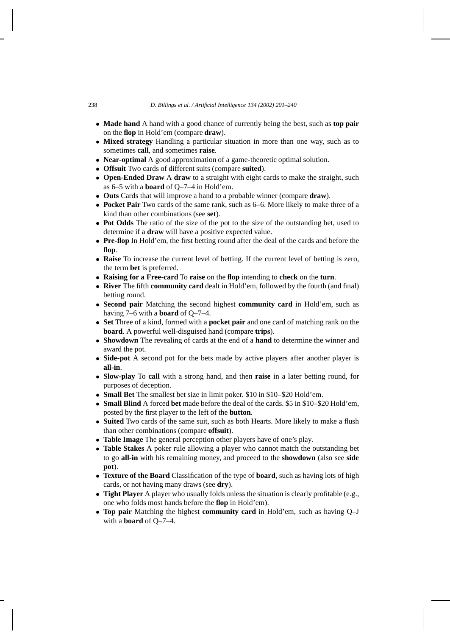- **Made hand** A hand with a good chance of currently being the best, such as **top pair** on the **flop** in Hold'em (compare **draw**).
- **Mixed strategy** Handling a particular situation in more than one way, such as to sometimes **call**, and sometimes **raise**.
- **Near-optimal** A good approximation of a game-theoretic optimal solution.
- **Offsuit** Two cards of different suits (compare **suited**).
- **Open-Ended Draw** A **draw** to a straight with eight cards to make the straight, such as 6–5 with a **board** of Q–7–4 in Hold'em.
- **Outs** Cards that will improve a hand to a probable winner (compare **draw**).
- **Pocket Pair** Two cards of the same rank, such as 6–6. More likely to make three of a kind than other combinations (see **set**).
- **Pot Odds** The ratio of the size of the pot to the size of the outstanding bet, used to determine if a **draw** will have a positive expected value.
- **Pre-flop** In Hold'em, the first betting round after the deal of the cards and before the **flop**.
- **Raise** To increase the current level of betting. If the current level of betting is zero, the term **bet** is preferred.
- **Raising for a Free-card** To **raise** on the **flop** intending to **check** on the **turn**.
- **River** The fifth **community card** dealt in Hold'em, followed by the fourth (and final) betting round.
- **Second pair** Matching the second highest **community card** in Hold'em, such as having 7–6 with a **board** of Q–7–4.
- **Set** Three of a kind, formed with a **pocket pair** and one card of matching rank on the **board**. A powerful well-disguised hand (compare **trips**).
- **Showdown** The revealing of cards at the end of a **hand** to determine the winner and award the pot.
- **Side-pot** A second pot for the bets made by active players after another player is **all-in**.
- **Slow-play** To **call** with a strong hand, and then **raise** in a later betting round, for purposes of deception.
- **Small Bet** The smallest bet size in limit poker. \$10 in \$10–\$20 Hold'em.
- **Small Blind** A forced **bet** made before the deal of the cards. \$5 in \$10–\$20 Hold'em, posted by the first player to the left of the **button**.
- **Suited** Two cards of the same suit, such as both Hearts. More likely to make a flush than other combinations (compare **offsuit**).
- **Table Image** The general perception other players have of one's play.
- **Table Stakes** A poker rule allowing a player who cannot match the outstanding bet to go **all-in** with his remaining money, and proceed to the **showdown** (also see **side pot**).
- **Texture of the Board** Classification of the type of **board**, such as having lots of high cards, or not having many draws (see **dry**).
- **Tight Player** A player who usually folds unless the situation is clearly profitable (e.g., one who folds most hands before the **flop** in Hold'em).
- **Top pair** Matching the highest **community card** in Hold'em, such as having Q–J with a **board** of Q–7–4.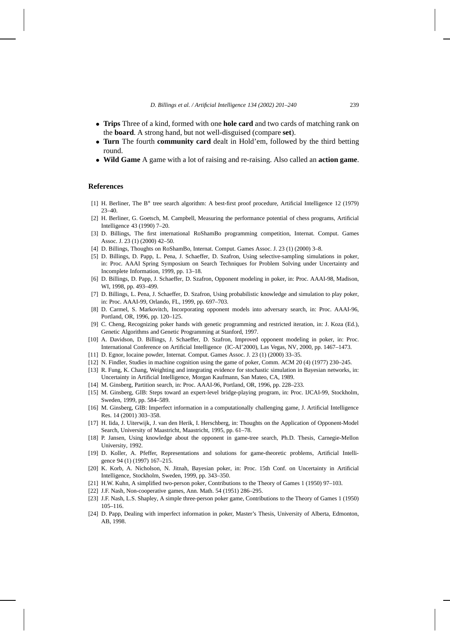- **Trips** Three of a kind, formed with one **hole card** and two cards of matching rank on the **board**. A strong hand, but not well-disguised (compare **set**).
- **Turn** The fourth **community card** dealt in Hold'em, followed by the third betting round.
- **Wild Game** A game with a lot of raising and re-raising. Also called an **action game**.

#### **References**

- [1] H. Berliner, The B<sup>∗</sup> tree search algorithm: A best-first proof procedure, Artificial Intelligence 12 (1979) 23–40.
- [2] H. Berliner, G. Goetsch, M. Campbell, Measuring the performance potential of chess programs, Artificial Intelligence 43 (1990) 7–20.
- [3] D. Billings, The first international RoShamBo programming competition, Internat. Comput. Games Assoc. J. 23 (1) (2000) 42–50.
- [4] D. Billings, Thoughts on RoShamBo, Internat. Comput. Games Assoc. J. 23 (1) (2000) 3–8.
- [5] D. Billings, D. Papp, L. Pena, J. Schaeffer, D. Szafron, Using selective-sampling simulations in poker, in: Proc. AAAI Spring Symposium on Search Techniques for Problem Solving under Uncertainty and Incomplete Information, 1999, pp. 13–18.
- [6] D. Billings, D. Papp, J. Schaeffer, D. Szafron, Opponent modeling in poker, in: Proc. AAAI-98, Madison, WI, 1998, pp. 493–499.
- [7] D. Billings, L. Pena, J. Schaeffer, D. Szafron, Using probabilistic knowledge and simulation to play poker, in: Proc. AAAI-99, Orlando, FL, 1999, pp. 697–703.
- [8] D. Carmel, S. Markovitch, Incorporating opponent models into adversary search, in: Proc. AAAI-96, Portland, OR, 1996, pp. 120–125.
- [9] C. Cheng, Recognizing poker hands with genetic programming and restricted iteration, in: J. Koza (Ed.), Genetic Algorithms and Genetic Programming at Stanford, 1997.
- [10] A. Davidson, D. Billings, J. Schaeffer, D. Szafron, Improved opponent modeling in poker, in: Proc. International Conference on Artificial Intelligence (IC-AI'2000), Las Vegas, NV, 2000, pp. 1467–1473.
- [11] D. Egnor, Iocaine powder, Internat. Comput. Games Assoc. J. 23 (1) (2000) 33–35.
- [12] N. Findler, Studies in machine cognition using the game of poker, Comm. ACM 20 (4) (1977) 230–245.
- [13] R. Fung, K. Chang, Weighting and integrating evidence for stochastic simulation in Bayesian networks, in: Uncertainty in Artificial Intelligence, Morgan Kaufmann, San Mateo, CA, 1989.
- [14] M. Ginsberg, Partition search, in: Proc. AAAI-96, Portland, OR, 1996, pp. 228–233.
- [15] M. Ginsberg, GIB: Steps toward an expert-level bridge-playing program, in: Proc. IJCAI-99, Stockholm, Sweden, 1999, pp. 584–589.
- [16] M. Ginsberg, GIB: Imperfect information in a computationally challenging game, J. Artificial Intelligence Res. 14 (2001) 303–358.
- [17] H. Iida, J. Uiterwijk, J. van den Herik, I. Herschberg, in: Thoughts on the Application of Opponent-Model Search, University of Maastricht, Maastricht, 1995, pp. 61–78.
- [18] P. Jansen, Using knowledge about the opponent in game-tree search, Ph.D. Thesis, Carnegie-Mellon University, 1992.
- [19] D. Koller, A. Pfeffer, Representations and solutions for game-theoretic problems, Artificial Intelligence 94 (1) (1997) 167–215.
- [20] K. Korb, A. Nicholson, N. Jitnah, Bayesian poker, in: Proc. 15th Conf. on Uncertainty in Artificial Intelligence, Stockholm, Sweden, 1999, pp. 343–350.
- [21] H.W. Kuhn, A simplified two-person poker, Contributions to the Theory of Games 1 (1950) 97–103.
- [22] J.F. Nash, Non-cooperative games, Ann. Math. 54 (1951) 286–295.
- [23] J.F. Nash, L.S. Shapley, A simple three-person poker game, Contributions to the Theory of Games 1 (1950) 105–116.
- [24] D. Papp, Dealing with imperfect information in poker, Master's Thesis, University of Alberta, Edmonton, AB, 1998.